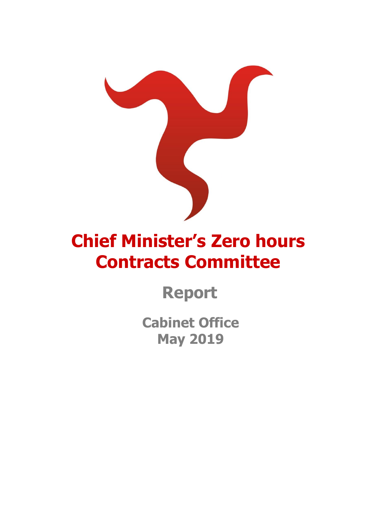

# **Chief Minister's Zero hours Contracts Committee**

**Report** 

**Cabinet Office May 2019**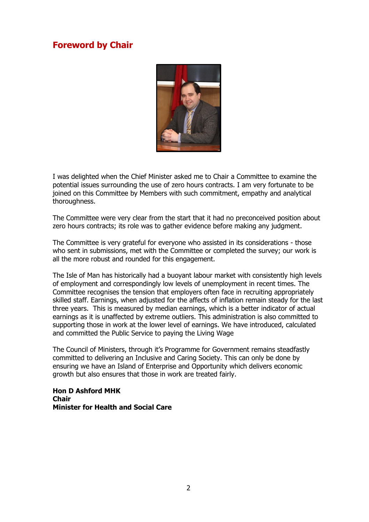# <span id="page-1-0"></span>**Foreword by Chair**



I was delighted when the Chief Minister asked me to Chair a Committee to examine the potential issues surrounding the use of zero hours contracts. I am very fortunate to be joined on this Committee by Members with such commitment, empathy and analytical thoroughness.

The Committee were very clear from the start that it had no preconceived position about zero hours contracts; its role was to gather evidence before making any judgment.

The Committee is very grateful for everyone who assisted in its considerations - those who sent in submissions, met with the Committee or completed the survey; our work is all the more robust and rounded for this engagement.

The Isle of Man has historically had a buoyant labour market with consistently high levels of employment and correspondingly low levels of unemployment in recent times. The Committee recognises the tension that employers often face in recruiting appropriately skilled staff. Earnings, when adjusted for the affects of inflation remain steady for the last three years. This is measured by median earnings, which is a better indicator of actual earnings as it is unaffected by extreme outliers. This administration is also committed to supporting those in work at the lower level of earnings. We have introduced, calculated and committed the Public Service to paying the Living Wage

The Council of Ministers, through it's Programme for Government remains steadfastly committed to delivering an Inclusive and Caring Society. This can only be done by ensuring we have an Island of Enterprise and Opportunity which delivers economic growth but also ensures that those in work are treated fairly.

**Hon D Ashford MHK Chair Minister for Health and Social Care**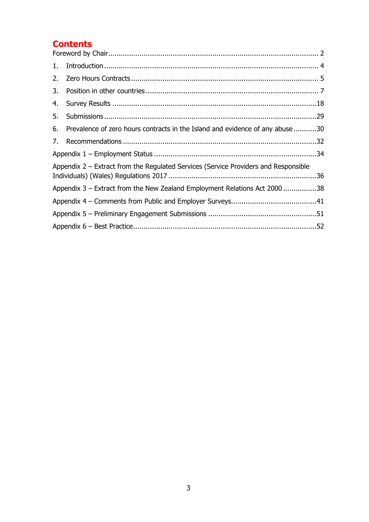# **Contents**

| 1. |                                                                                     |  |
|----|-------------------------------------------------------------------------------------|--|
| 2. |                                                                                     |  |
| 3. |                                                                                     |  |
| 4. |                                                                                     |  |
| 5. |                                                                                     |  |
| 6. | Prevalence of zero hours contracts in the Island and evidence of any abuse 30       |  |
| 7. |                                                                                     |  |
|    |                                                                                     |  |
|    | Appendix 2 – Extract from the Regulated Services (Service Providers and Responsible |  |
|    | Appendix 3 - Extract from the New Zealand Employment Relations Act 2000 38          |  |
|    |                                                                                     |  |
|    |                                                                                     |  |
|    |                                                                                     |  |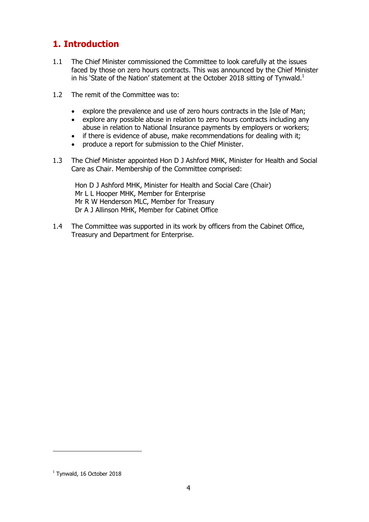# <span id="page-3-0"></span>**1. Introduction**

- 1.1 The Chief Minister commissioned the Committee to look carefully at the issues faced by those on zero hours contracts. This was announced by the Chief Minister in his 'State of the Nation' statement at the October 2018 sitting of Tynwald.<sup>1</sup>
- 1.2 The remit of the Committee was to:
	- explore the prevalence and use of zero hours contracts in the Isle of Man:
	- explore any possible abuse in relation to zero hours contracts including any abuse in relation to National Insurance payments by employers or workers;
	- if there is evidence of abuse, make recommendations for dealing with it;
	- produce a report for submission to the Chief Minister.
- 1.3 The Chief Minister appointed Hon D J Ashford MHK, Minister for Health and Social Care as Chair. Membership of the Committee comprised:

Hon D J Ashford MHK, Minister for Health and Social Care (Chair) Mr L L Hooper MHK, Member for Enterprise Mr R W Henderson MLC, Member for Treasury Dr A J Allinson MHK, Member for Cabinet Office

1.4 The Committee was supported in its work by officers from the Cabinet Office, Treasury and Department for Enterprise.

-

 $<sup>1</sup>$  Tynwald, 16 October 2018</sup>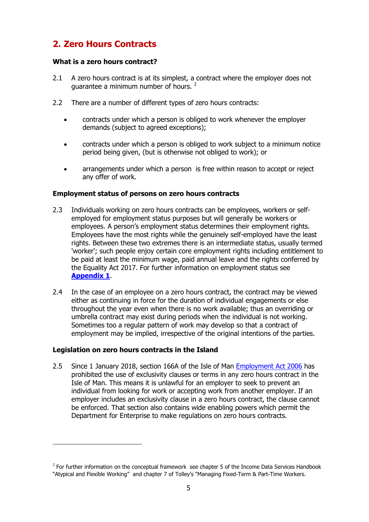# <span id="page-4-0"></span>**2. Zero Hours Contracts**

### **What is a zero hours contract?**

- 2.1 A zero hours contract is at its simplest, a contract where the employer does not guarantee a minimum number of hours.<sup>2</sup>
- 2.2 There are a number of different types of zero hours contracts:
	- contracts under which a person is obliged to work whenever the employer demands (subject to agreed exceptions);
	- contracts under which a person is obliged to work subject to a minimum notice period being given, (but is otherwise not obliged to work); or
	- arrangements under which a person is free within reason to accept or reject any offer of work.

### **Employment status of persons on zero hours contracts**

- 2.3 Individuals working on zero hours contracts can be employees, workers or selfemployed for employment status purposes but will generally be workers or employees. A person's employment status determines their employment rights. Employees have the most rights while the genuinely self-employed have the least rights. Between these two extremes there is an intermediate status, usually termed 'worker'; such people enjoy certain core employment rights including entitlement to be paid at least the minimum wage, paid annual leave and the rights conferred by the Equality Act 2017. For further information on employment status see **[Appendix 1](#page-33-0)**.
- 2.4 In the case of an employee on a zero hours contract, the contract may be viewed either as continuing in force for the duration of individual engagements or else throughout the year even when there is no work available; thus an overriding or umbrella contract may exist during periods when the individual is not working. Sometimes too a regular pattern of work may develop so that a contract of employment may be implied, irrespective of the original intentions of the parties.

#### **Legislation on zero hours contracts in the Island**

-

2.5 Since 1 January 2018, section 166A of the Isle of Man [Employment Act 2006](https://www.legislation.gov.im/cms/images/LEGISLATION/PRINCIPAL/2006/2006-0021/EmploymentAct2006_13.pdf) has prohibited the use of exclusivity clauses or terms in any zero hours contract in the Isle of Man. This means it is unlawful for an employer to seek to prevent an individual from looking for work or accepting work from another employer. If an employer includes an exclusivity clause in a zero hours contract, the clause cannot be enforced. That section also contains wide enabling powers which permit the Department for Enterprise to make regulations on zero hours contracts.

 $2$  For further information on the conceptual framework see chapter 5 of the Income Data Services Handbook "Atypical and Flexible Working" and chapter 7 of Tolley's "Managing Fixed-Term & Part-Time Workers.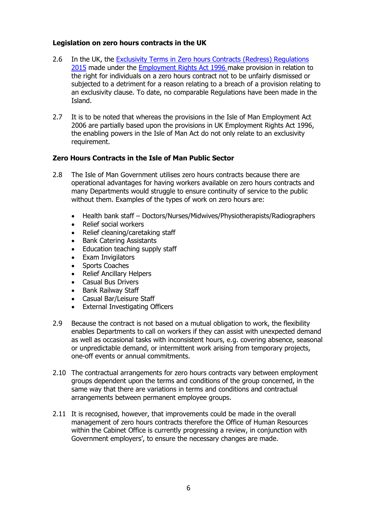### **Legislation on zero hours contracts in the UK**

- <span id="page-5-0"></span>2.6 In the UK, the Exclusivity Terms in Zero hours [Contracts \(Redress\) Regulations](https://www.legislation.gov.uk/ukdsi/2015/9780111139950)  [2015](https://www.legislation.gov.uk/ukdsi/2015/9780111139950) made under the [Employment Rights Act 1996](https://www.legislation.gov.uk/ukpga/1996/18/contents) make provision in relation to the right for individuals on a zero hours contract not to be unfairly dismissed or subjected to a detriment for a reason relating to a breach of a provision relating to an exclusivity clause. To date, no comparable Regulations have been made in the Island.
- 2.7 It is to be noted that whereas the provisions in the Isle of Man Employment Act 2006 are partially based upon the provisions in UK Employment Rights Act 1996, the enabling powers in the Isle of Man Act do not only relate to an exclusivity requirement.

### **Zero Hours Contracts in the Isle of Man Public Sector**

- 2.8 The Isle of Man Government utilises zero hours contracts because there are operational advantages for having workers available on zero hours contracts and many Departments would struggle to ensure continuity of service to the public without them. Examples of the types of work on zero hours are:
	- Health bank staff Doctors/Nurses/Midwives/Physiotherapists/Radiographers
	- Relief social workers
	- Relief cleaning/caretaking staff
	- Bank Catering Assistants
	- Education teaching supply staff
	- Exam Invigilators
	- Sports Coaches
	- Relief Ancillary Helpers
	- Casual Bus Drivers
	- Bank Railway Staff
	- Casual Bar/Leisure Staff
	- External Investigating Officers
- 2.9 Because the contract is not based on a mutual obligation to work, the flexibility enables Departments to call on workers if they can assist with unexpected demand as well as occasional tasks with inconsistent hours, e.g. covering absence, seasonal or unpredictable demand, or intermittent work arising from temporary projects, one-off events or annual commitments.
- 2.10 The contractual arrangements for zero hours contracts vary between employment groups dependent upon the terms and conditions of the group concerned, in the same way that there are variations in terms and conditions and contractual arrangements between permanent employee groups.
- 2.11 It is recognised, however, that improvements could be made in the overall management of zero hours contracts therefore the Office of Human Resources within the Cabinet Office is currently progressing a review, in conjunction with Government employers', to ensure the necessary changes are made.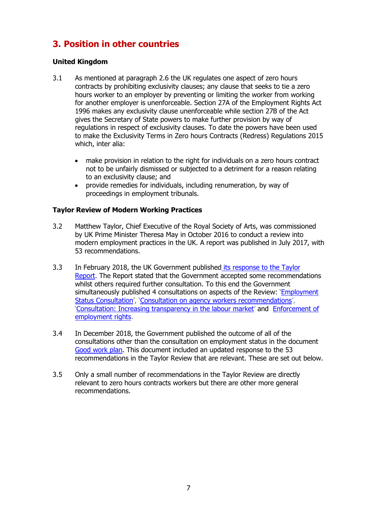# <span id="page-6-0"></span>**3. Position in other countries**

### **United Kingdom**

- 3.1 As mentioned at paragraph [2.6](#page-5-0) the UK regulates one aspect of zero hours contracts by prohibiting exclusivity clauses; any clause that seeks to tie a zero hours worker to an employer by preventing or limiting the worker from working for another employer is unenforceable. Section 27A of the [Employment Rights Act](https://www.legislation.gov.uk/ukpga/1996/18/contents)  [1996](https://www.legislation.gov.uk/ukpga/1996/18/contents) makes any exclusivity clause unenforceable while section 27B of the Act gives the Secretary of State powers to make further provision by way of regulations in respect of exclusivity clauses. To date the powers have been used to make the Exclusivity Terms in Zero hours [Contracts \(Redress\) Regulations 2015](https://www.legislation.gov.uk/ukdsi/2015/9780111139950) which, inter alia:
	- make provision in relation to the right for individuals on a zero hours contract not to be unfairly dismissed or subjected to a detriment for a reason relating to an exclusivity clause; and
	- provide remedies for individuals, including renumeration, by way of proceedings in employment tribunals.

### **Taylor Review of Modern Working Practices**

- 3.2 Matthew Taylor, Chief Executive of the Royal Society of Arts, was commissioned by UK Prime Minister Theresa May in October 2016 to conduct a review into modern employment practices in the UK. A report was published in July 2017, with 53 recommendations.
- 3.3 In February 2018, the UK Government published [its response to the Taylor](https://assets.publishing.service.gov.uk/government/uploads/system/uploads/attachment_data/file/679765/180206_BEIS_Good_Work_Report.pdf)  [Report.](https://assets.publishing.service.gov.uk/government/uploads/system/uploads/attachment_data/file/679765/180206_BEIS_Good_Work_Report.pdf) The Report stated that the Government accepted some recommendations whilst others required further consultation. To this end the Government simultaneously published 4 consultations on aspects of the Review: '[Employment](https://beisgovuk.citizenspace.com/lm/employment-status-consultation/supporting_documents/FINAL%20%20Employment%20Status%20consultation%20%20FOR%20UPLOADING%20and%20PRINTING.pdf)  [Status Consultation](https://beisgovuk.citizenspace.com/lm/employment-status-consultation/supporting_documents/FINAL%20%20Employment%20Status%20consultation%20%20FOR%20UPLOADING%20and%20PRINTING.pdf)', '[Consultation on agency workers recommendations](https://assets.publishing.service.gov.uk/government/uploads/system/uploads/attachment_data/file/679831/2018-02-06_Agencyworkerconsultationdoc_Final.pdf)', '[Consultation: Increasing transparency in the labour market](https://assets.publishing.service.gov.uk/government/uploads/system/uploads/attachment_data/file/679849/Consultation_-_Increasing_Transparency_-_070218__3_.pdf)' and [Enforcement of](https://www.gov.uk/government/consultations/enforcement-of-employment-rights-recommendations)  [employment rights.](https://www.gov.uk/government/consultations/enforcement-of-employment-rights-recommendations)
- 3.4 In December 2018, the Government published the outcome of all of the consultations other than the consultation on employment status in the document [Good work plan.](https://assets.publishing.service.gov.uk/government/uploads/system/uploads/attachment_data/file/766187/good-work-plan-printready.pdf) This document included an updated response to the 53 recommendations in the Taylor Review that are relevant. These are set out below.
- 3.5 Only a small number of recommendations in the Taylor Review are directly relevant to zero hours contracts workers but there are other more general recommendations.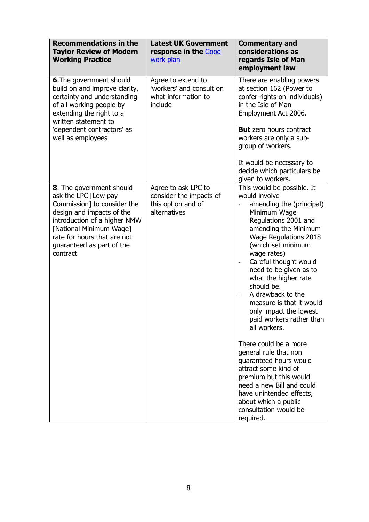| <b>Recommendations in the</b><br><b>Taylor Review of Modern</b><br><b>Working Practice</b>                                                                                                                                                      | <b>Latest UK Government</b><br>response in the Good<br>work plan                     | <b>Commentary and</b><br>considerations as<br>regards Isle of Man<br>employment law                                                                                                                                                                                                                                                                                                                                                                                                                                                                                                                                                                                                                                                                  |
|-------------------------------------------------------------------------------------------------------------------------------------------------------------------------------------------------------------------------------------------------|--------------------------------------------------------------------------------------|------------------------------------------------------------------------------------------------------------------------------------------------------------------------------------------------------------------------------------------------------------------------------------------------------------------------------------------------------------------------------------------------------------------------------------------------------------------------------------------------------------------------------------------------------------------------------------------------------------------------------------------------------------------------------------------------------------------------------------------------------|
| <b>6.</b> The government should<br>build on and improve clarity,<br>certainty and understanding<br>of all working people by<br>extending the right to a<br>written statement to<br>'dependent contractors' as<br>well as employees              | Agree to extend to<br>'workers' and consult on<br>what information to<br>include     | There are enabling powers<br>at section 162 (Power to<br>confer rights on individuals)<br>in the Isle of Man<br>Employment Act 2006.<br><b>But</b> zero hours contract<br>workers are only a sub-<br>group of workers.<br>It would be necessary to<br>decide which particulars be                                                                                                                                                                                                                                                                                                                                                                                                                                                                    |
| 8. The government should<br>ask the LPC [Low pay<br>Commission] to consider the<br>design and impacts of the<br>introduction of a higher NMW<br>[National Minimum Wage]<br>rate for hours that are not<br>guaranteed as part of the<br>contract | Agree to ask LPC to<br>consider the impacts of<br>this option and of<br>alternatives | given to workers.<br>This would be possible. It<br>would involve<br>amending the (principal)<br>Minimum Wage<br>Regulations 2001 and<br>amending the Minimum<br>Wage Regulations 2018<br>(which set minimum<br>wage rates)<br>Careful thought would<br>$\qquad \qquad -$<br>need to be given as to<br>what the higher rate<br>should be.<br>A drawback to the<br>$\qquad \qquad \blacksquare$<br>measure is that it would<br>only impact the lowest<br>paid workers rather than<br>all workers.<br>There could be a more<br>general rule that non<br>guaranteed hours would<br>attract some kind of<br>premium but this would<br>need a new Bill and could<br>have unintended effects,<br>about which a public<br>consultation would be<br>required. |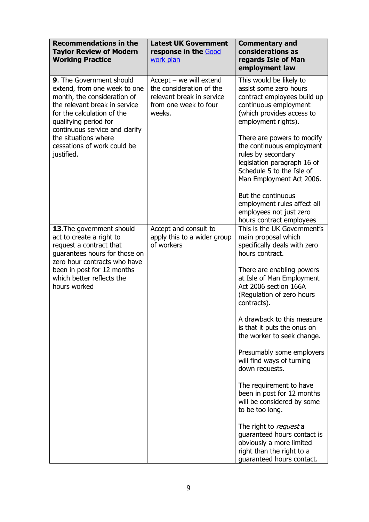| <b>Recommendations in the</b><br><b>Taylor Review of Modern</b><br><b>Working Practice</b>                                                                                                                        | <b>Latest UK Government</b><br>response in the Good<br>work plan                                                      | <b>Commentary and</b><br>considerations as<br>regards Isle of Man<br>employment law                                                                                   |
|-------------------------------------------------------------------------------------------------------------------------------------------------------------------------------------------------------------------|-----------------------------------------------------------------------------------------------------------------------|-----------------------------------------------------------------------------------------------------------------------------------------------------------------------|
| 9. The Government should<br>extend, from one week to one<br>month, the consideration of<br>the relevant break in service<br>for the calculation of the<br>qualifying period for<br>continuous service and clarify | $Accept - we will extend$<br>the consideration of the<br>relevant break in service<br>from one week to four<br>weeks. | This would be likely to<br>assist some zero hours<br>contract employees build up<br>continuous employment<br>(which provides access to<br>employment rights).         |
| the situations where<br>cessations of work could be<br>justified.                                                                                                                                                 |                                                                                                                       | There are powers to modify<br>the continuous employment<br>rules by secondary<br>legislation paragraph 16 of<br>Schedule 5 to the Isle of<br>Man Employment Act 2006. |
|                                                                                                                                                                                                                   |                                                                                                                       | But the continuous<br>employment rules affect all<br>employees not just zero<br>hours contract employees                                                              |
| 13. The government should<br>act to create a right to<br>request a contract that<br>guarantees hours for those on<br>zero hour contracts who have                                                                 | Accept and consult to<br>apply this to a wider group<br>of workers                                                    | This is the UK Government's<br>main proposal which<br>specifically deals with zero<br>hours contract.                                                                 |
| been in post for 12 months<br>which better reflects the<br>hours worked                                                                                                                                           |                                                                                                                       | There are enabling powers<br>at Isle of Man Employment<br>Act 2006 section 166A<br>(Regulation of zero hours<br>contracts).                                           |
|                                                                                                                                                                                                                   |                                                                                                                       | A drawback to this measure<br>is that it puts the onus on<br>the worker to seek change.                                                                               |
|                                                                                                                                                                                                                   |                                                                                                                       | Presumably some employers<br>will find ways of turning<br>down requests.                                                                                              |
|                                                                                                                                                                                                                   |                                                                                                                       | The requirement to have<br>been in post for 12 months<br>will be considered by some<br>to be too long.                                                                |
|                                                                                                                                                                                                                   |                                                                                                                       | The right to request a<br>quaranteed hours contact is<br>obviously a more limited<br>right than the right to a<br>guaranteed hours contact.                           |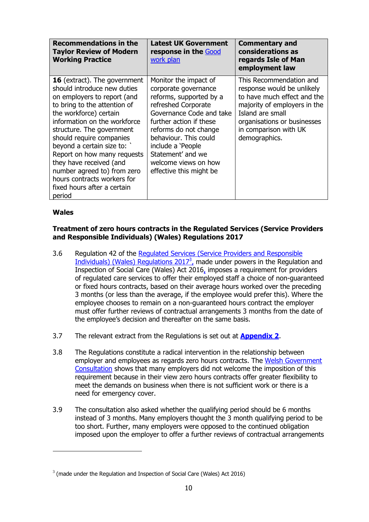| <b>Recommendations in the</b><br><b>Taylor Review of Modern</b><br><b>Working Practice</b>                                                                                                                                                                                                                                                                                                                                                           | <b>Latest UK Government</b><br>response in the Good<br>work plan                                                                                                                                                                                                                                      | <b>Commentary and</b><br>considerations as<br>regards Isle of Man<br>employment law                                                                                                                               |
|------------------------------------------------------------------------------------------------------------------------------------------------------------------------------------------------------------------------------------------------------------------------------------------------------------------------------------------------------------------------------------------------------------------------------------------------------|-------------------------------------------------------------------------------------------------------------------------------------------------------------------------------------------------------------------------------------------------------------------------------------------------------|-------------------------------------------------------------------------------------------------------------------------------------------------------------------------------------------------------------------|
| <b>16</b> (extract). The government<br>should introduce new duties<br>on employers to report (and<br>to bring to the attention of<br>the workforce) certain<br>information on the workforce<br>structure. The government<br>should require companies<br>beyond a certain size to: `<br>Report on how many requests<br>they have received (and<br>number agreed to) from zero<br>hours contracts workers for<br>fixed hours after a certain<br>period | Monitor the impact of<br>corporate governance<br>reforms, supported by a<br>refreshed Corporate<br>Governance Code and take<br>further action if these<br>reforms do not change<br>behaviour. This could<br>include a 'People<br>Statement' and we<br>welcome views on how<br>effective this might be | This Recommendation and<br>response would be unlikely<br>to have much effect and the<br>majority of employers in the<br>Island are small<br>organisations or businesses<br>in comparison with UK<br>demographics. |

### **Wales**

-

### **Treatment of zero hours contracts in the Regulated Services (Service Providers and Responsible Individuals) (Wales) Regulations 2017**

- 3.6 Regulation 42 of the [Regulated Services \(Service Providers and Responsible](https://www.legislation.gov.uk/wsi/2017/1264/contents/made)  Individuals) (Wales) Regulations  $2017<sup>3</sup>$ , made under powers in the Regulation and [Inspection of Social Care \(Wales\) Act 2016,](http://www.legislation.gov.uk/anaw/2016/2/contents/enacted) imposes a requirement for providers of regulated care services to offer their employed staff a choice of non-guaranteed or fixed hours contracts, based on their average hours worked over the preceding 3 months (or less than the average, if the employee would prefer this). Where the employee chooses to remain on a non-guaranteed hours contract the employer must offer further reviews of contractual arrangements 3 months from the date of the employee's decision and thereafter on the same basis.
- 3.7 The relevant extract from the Regulations is set out at **[Appendix 2](#page-35-0)**.
- 3.8 The Regulations constitute a radical intervention in the relationship between employer and employees as regards zero hours contracts. The [Welsh Government](https://beta.gov.wales/sites/default/files/consultations/2018-02/171122responses-workforceen.pdf)  [Consultation](https://beta.gov.wales/sites/default/files/consultations/2018-02/171122responses-workforceen.pdf) shows that many employers did not welcome the imposition of this requirement because in their view zero hours contracts offer greater flexibility to meet the demands on business when there is not sufficient work or there is a need for emergency cover.
- 3.9 The consultation also asked whether the qualifying period should be 6 months instead of 3 months. Many employers thought the 3 month qualifying period to be too short. Further, many employers were opposed to the continued obligation imposed upon the employer to offer a further reviews of contractual arrangements

 $3$  (made under the Regulation and Inspection of Social Care (Wales) Act 2016)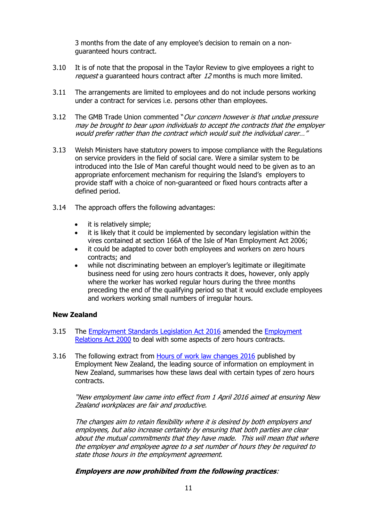3 months from the date of any employee's decision to remain on a nonguaranteed hours contract.

- 3.10 It is of note that the proposal in the Taylor Review to give employees a right to request a quaranteed hours contract after 12 months is much more limited.
- 3.11 The arrangements are limited to employees and do not include persons working under a contract for services i.e. persons other than employees.
- 3.12 The GMB Trade Union commented "Our concern however is that undue pressure may be brought to bear upon individuals to accept the contracts that the employer would prefer rather than the contract which would suit the individual carer…"
- 3.13 Welsh Ministers have statutory powers to impose compliance with the Regulations on service providers in the field of social care. Were a similar system to be introduced into the Isle of Man careful thought would need to be given as to an appropriate enforcement mechanism for requiring the Island's employers to provide staff with a choice of non-guaranteed or fixed hours contracts after a defined period.
- 3.14 The approach offers the following advantages:
	- it is relatively simple;
	- it is likely that it could be implemented by secondary legislation within the vires contained at section 166A of the Isle of Man Employment Act 2006;
	- it could be adapted to cover both employees and workers on zero hours contracts; and
	- while not discriminating between an employer's legitimate or illegitimate business need for using zero hours contracts it does, however, only apply where the worker has worked regular hours during the three months preceding the end of the qualifying period so that it would exclude employees and workers working small numbers of irregular hours.

### **New Zealand**

- 3.15 The [Employment](http://www.legislation.govt.nz/bill/government/2015/0053/18.0/d56e2.html) Standards Legislation Act 2016 amended the [Employment](http://www.legislation.govt.nz/act/public/2000/0024/109.0/DLM58317.html) [Relations](http://www.legislation.govt.nz/act/public/2000/0024/109.0/DLM58317.html) Act 2000 to deal with some aspects of zero hours contracts.
- 3.16 The following extract from [Hours of work law changes 2016](https://www.employment.govt.nz/about/employment-law/employment-law-changes/hours-of-work-law-changes-2016/) published by Employment New Zealand, the leading source of information on employment in New Zealand, summarises how these laws deal with certain types of zero hours contracts.

"New employment law came into effect from 1 April 2016 aimed at ensuring New Zealand workplaces are fair and productive.

The changes aim to retain flexibility where it is desired by both employers and employees, but also increase certainty by ensuring that both parties are clear about the mutual commitments that they have made. This will mean that where the employer and employee agree to a set number of hours they be required to state those hours in the employment agreement.

### **Employers are now prohibited from the following practices**: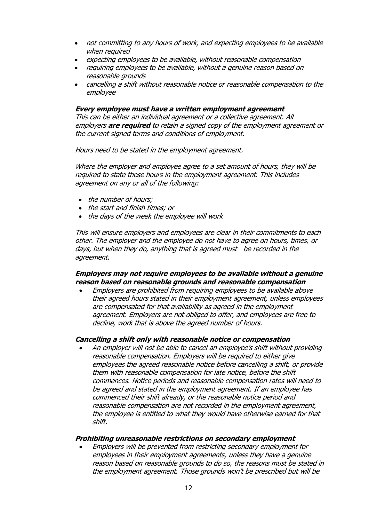- not committing to any hours of work, and expecting employees to be available when required
- expecting employees to be available, without reasonable compensation
- requiring employees to be available, without a genuine reason based on reasonable grounds
- cancelling a shift without reasonable notice or reasonable compensation to the employee

**Every employee must have a written employment agreement**

This can be either an individual agreement or a collective agreement. All employers **are required** to retain a signed copy of the employment agreement or the current signed terms and conditions of employment.

Hours need to be stated in the employment agreement.

Where the employer and employee agree to a set amount of hours, they will be required to state those hours in the employment agreement. This includes agreement on any or all of the following:

- the number of hours;
- the start and finish times; or
- the days of the week the employee will work

This will ensure employers and employees are clear in their commitments to each other. The employer and the employee do not have to agree on hours, times, or days, but when they do, anything that is agreed must be recorded in the agreement.

#### **Employers may not require employees to be available without a genuine reason based on reasonable grounds and reasonable compensation**

 Employers are prohibited from requiring employees to be available above their agreed hours stated in their employment agreement, unless employees are compensated for that availability as agreed in the employment agreement. Employers are not obliged to offer, and employees are free to decline, work that is above the agreed number of hours.

#### **Cancelling a shift only with reasonable notice or compensation**

 An employer will not be able to cancel an employee's shift without providing reasonable compensation. Employers will be required to either give employees the agreed reasonable notice before cancelling a shift, or provide them with reasonable compensation for late notice, before the shift commences. Notice periods and reasonable compensation rates will need to be agreed and stated in the employment agreement. If an employee has commenced their shift already, or the reasonable notice period and reasonable compensation are not recorded in the employment agreement, the employee is entitled to what they would have otherwise earned for that shift.

#### **Prohibiting unreasonable restrictions on secondary employment**

 Employers will be prevented from restricting secondary employment for employees in their employment agreements, unless they have a genuine reason based on reasonable grounds to do so, the reasons must be stated in the employment agreement. Those grounds won't be prescribed but will be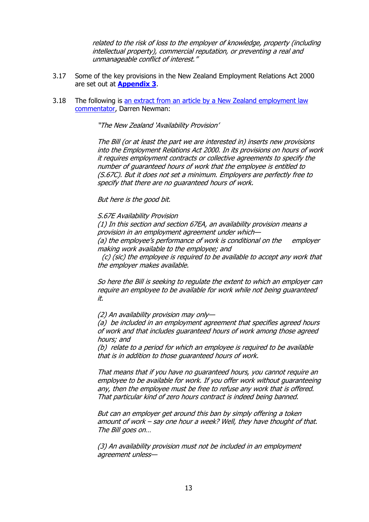related to the risk of loss to the employer of knowledge, property (including intellectual property), commercial reputation, or preventing a real and unmanageable conflict of interest."

- 3.17 Some of the key provisions in the New Zealand Employment Relations Act 2000 are set out at **[Appendix 3](#page-37-0)**.
- 3.18 The following is [an extract from an article by a New Zealand employment law](https://rangeofreasonableresponses.com/2016/03/13/new-zealand-bans-zero-hours-contracts-not-exactly/)  [commentator,](https://rangeofreasonableresponses.com/2016/03/13/new-zealand-bans-zero-hours-contracts-not-exactly/) Darren Newman:

"The New Zealand 'Availability Provision'

The Bill (or at least the part we are interested in) inserts new provisions into the Employment Relations Act 2000. In its provisions on hours of work it requires employment contracts or collective agreements to specify the number of guaranteed hours of work that the employee is entitled to (S.67C). But it does not set a minimum. Employers are perfectly free to specify that there are no guaranteed hours of work.

#### But here is the good bit.

S.67E Availability Provision

(1) In this section and section 67EA, an availability provision means a provision in an employment agreement under which—

(a) the employee's performance of work is conditional on the employer making work available to the employee; and

 (c) (sic) the employee is required to be available to accept any work that the employer makes available.

So here the Bill is seeking to regulate the extent to which an employer can require an employee to be available for work while not being guaranteed it.

(2) An availability provision may only—

(a) be included in an employment agreement that specifies agreed hours of work and that includes guaranteed hours of work among those agreed hours; and

(b) relate to a period for which an employee is required to be available that is in addition to those guaranteed hours of work.

That means that if you have no guaranteed hours, you cannot require an employee to be available for work. If you offer work without guaranteeing any, then the employee must be free to refuse any work that is offered. That particular kind of zero hours contract is indeed being banned.

But can an employer get around this ban by simply offering a token amount of work – say one hour a week? Well, they have thought of that. The Bill goes on…

(3) An availability provision must not be included in an employment agreement unless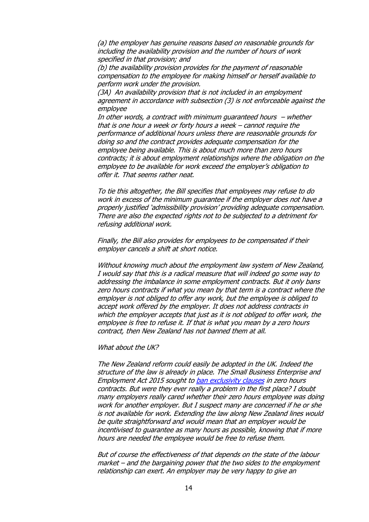(a) the employer has genuine reasons based on reasonable grounds for including the availability provision and the number of hours of work specified in that provision; and

(b) the availability provision provides for the payment of reasonable compensation to the employee for making himself or herself available to perform work under the provision.

(3A) An availability provision that is not included in an employment agreement in accordance with subsection (3) is not enforceable against the employee

In other words, a contract with minimum guaranteed hours  $-$  whether that is one hour a week or forty hours a week – cannot require the performance of additional hours unless there are reasonable grounds for doing so and the contract provides adequate compensation for the employee being available. This is about much more than zero hours contracts; it is about employment relationships where the obligation on the employee to be available for work exceed the employer's obligation to offer it. That seems rather neat.

To tie this altogether, the Bill specifies that employees may refuse to do work in excess of the minimum guarantee if the employer does not have a properly justified 'admissibility provision' providing adequate compensation. There are also the expected rights not to be subjected to a detriment for refusing additional work.

Finally, the Bill also provides for employees to be compensated if their employer cancels a shift at short notice.

Without knowing much about the employment law system of New Zealand, I would say that this is a radical measure that will indeed go some way to addressing the imbalance in some employment contracts. But it only bans zero hours contracts if what you mean by that term is a contract where the employer is not obliged to offer any work, but the employee is obliged to accept work offered by the employer. It does not address contracts in which the employer accepts that just as it is not obliged to offer work, the employee is free to refuse it. If that is what you mean by a zero hours contract, then New Zealand has not banned them at all.

What about the UK?

The New Zealand reform could easily be adopted in the UK. Indeed the structure of the law is already in place. The Small Business Enterprise and Employment Act 2015 sought t[o ban exclusivity clauses](http://www.legislation.gov.uk/ukpga/2015/26/section/153/enacted) in zero hours contracts. But were they ever really a problem in the first place? I doubt many employers really cared whether their zero hours employee was doing work for another employer. But I suspect many are concerned if he or she is not available for work. Extending the law along New Zealand lines would be quite straightforward and would mean that an employer would be incentivised to guarantee as many hours as possible, knowing that if more hours are needed the employee would be free to refuse them.

But of course the effectiveness of that depends on the state of the labour market – and the bargaining power that the two sides to the employment relationship can exert. An employer may be very happy to give an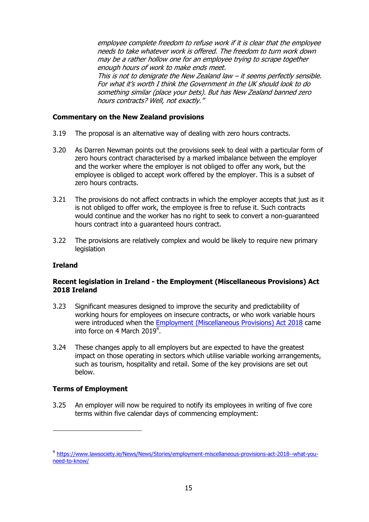employee complete freedom to refuse work if it is clear that the employee needs to take whatever work is offered. The freedom to turn work down may be a rather hollow one for an employee trying to scrape together enough hours of work to make ends meet. This is not to denigrate the New Zealand law  $-$  it seems perfectly sensible. For what it's worth I think the Government in the UK should look to do something similar (place your bets). But has New Zealand banned zero hours contracts? Well, not exactly."

### **Commentary on the New Zealand provisions**

- 3.19 The proposal is an alternative way of dealing with zero hours contracts.
- 3.20 As Darren Newman points out the provisions seek to deal with a particular form of zero hours contract characterised by a marked imbalance between the employer and the worker where the employer is not obliged to offer any work, but the employee is obliged to accept work offered by the employer. This is a subset of zero hours contracts.
- 3.21 The provisions do not affect contracts in which the employer accepts that just as it is not obliged to offer work, the employee is free to refuse it. Such contracts would continue and the worker has no right to seek to convert a non-guaranteed hours contract into a guaranteed hours contract.
- 3.22 The provisions are relatively complex and would be likely to require new primary **legislation**

#### **Ireland**

### **Recent legislation in Ireland - the Employment (Miscellaneous Provisions) Act 2018 Ireland**

- 3.23 Significant measures designed to improve the security and predictability of working hours for employees on insecure contracts, or who work variable hours were introduced when the [Employment \(Miscellaneous Provisions\) Act 2018](http://www.irishstatutebook.ie/eli/2018/act/38/enacted/en/html) came into force on 4 March 2019<sup>4</sup>.
- 3.24 These changes apply to all employers but are expected to have the greatest impact on those operating in sectors which utilise variable working arrangements, such as tourism, hospitality and retail. Some of the key provisions are set out below.

#### **Terms of Employment**

-

3.25 An employer will now be required to notify its employees in writing of five core terms within five calendar days of commencing employment:

<sup>4</sup> [https://www.lawsociety.ie/News/News/Stories/employment-miscellaneous-provisions-act-2018--what-you](https://www.lawsociety.ie/News/News/Stories/employment-miscellaneous-provisions-act-2018--what-you-need-to-know/)[need-to-know/](https://www.lawsociety.ie/News/News/Stories/employment-miscellaneous-provisions-act-2018--what-you-need-to-know/)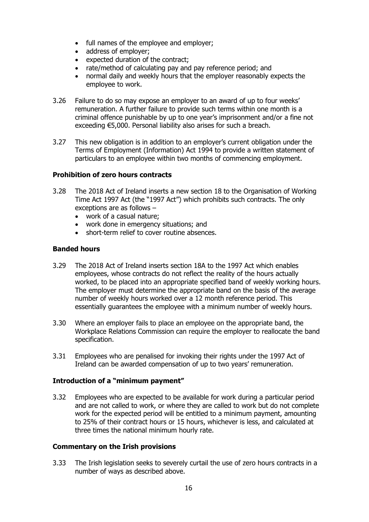- full names of the employee and employer;
- address of employer;
- expected duration of the contract;
- rate/method of calculating pay and pay reference period; and
- normal daily and weekly hours that the employer reasonably expects the employee to work.
- 3.26 Failure to do so may expose an employer to an award of up to four weeks' remuneration. A further failure to provide such terms within one month is a criminal offence punishable by up to one year's imprisonment and/or a fine not exceeding €5,000. Personal liability also arises for such a breach.
- 3.27 This new obligation is in addition to an employer's current obligation under the Terms of Employment (Information) Act 1994 to provide a written statement of particulars to an employee within two months of commencing employment.

### **Prohibition of zero hours contracts**

- 3.28 The 2018 Act of Ireland inserts a new section 18 to the Organisation of Working Time Act 1997 Act (the "1997 Act") which prohibits such contracts. The only exceptions are as follows –
	- work of a casual nature;
	- work done in emergency situations; and
	- short-term relief to cover routine absences.

### **Banded hours**

- 3.29 The 2018 Act of Ireland inserts section 18A to the 1997 Act which enables employees, whose contracts do not reflect the reality of the hours actually worked, to be placed into an appropriate specified band of weekly working hours. The employer must determine the appropriate band on the basis of the average number of weekly hours worked over a 12 month reference period. This essentially guarantees the employee with a minimum number of weekly hours.
- 3.30 Where an employer fails to place an employee on the appropriate band, the Workplace Relations Commission can require the employer to reallocate the band specification.
- 3.31 Employees who are penalised for invoking their rights under the 1997 Act of Ireland can be awarded compensation of up to two years' remuneration.

#### **Introduction of a "minimum payment"**

3.32 Employees who are expected to be available for work during a particular period and are not called to work, or where they are called to work but do not complete work for the expected period will be entitled to a minimum payment, amounting to 25% of their contract hours or 15 hours, whichever is less, and calculated at three times the national minimum hourly rate.

#### **Commentary on the Irish provisions**

3.33 The Irish legislation seeks to severely curtail the use of zero hours contracts in a number of ways as described above.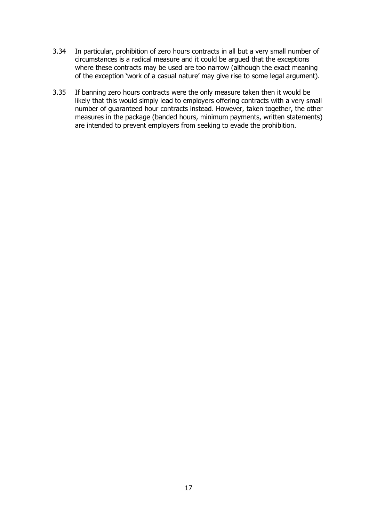- 3.34 In particular, prohibition of zero hours contracts in all but a very small number of circumstances is a radical measure and it could be argued that the exceptions where these contracts may be used are too narrow (although the exact meaning of the exception 'work of a casual nature' may give rise to some legal argument).
- 3.35 If banning zero hours contracts were the only measure taken then it would be likely that this would simply lead to employers offering contracts with a very small number of guaranteed hour contracts instead. However, taken together, the other measures in the package (banded hours, minimum payments, written statements) are intended to prevent employers from seeking to evade the prohibition.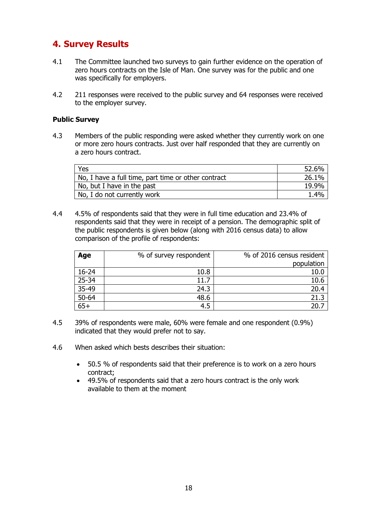# <span id="page-17-0"></span>**4. Survey Results**

- 4.1 The Committee launched two surveys to gain further evidence on the operation of zero hours contracts on the Isle of Man. One survey was for the public and one was specifically for employers.
- 4.2 211 responses were received to the public survey and 64 responses were received to the employer survey.

### **Public Survey**

4.3 Members of the public responding were asked whether they currently work on one or more zero hours contracts. Just over half responded that they are currently on a zero hours contract.

| Yes                                                 | 52.6% |
|-----------------------------------------------------|-------|
| No, I have a full time, part time or other contract | 26.1% |
| No, but I have in the past                          | 19.9% |
| No, I do not currently work                         | 1.4%  |

4.4 4.5% of respondents said that they were in full time education and 23.4% of respondents said that they were in receipt of a pension. The demographic split of the public respondents is given below (along with 2016 census data) to allow comparison of the profile of respondents:

| Age       | % of survey respondent | % of 2016 census resident |
|-----------|------------------------|---------------------------|
|           |                        | population                |
| $16 - 24$ | 10.8                   | 10.0                      |
| $25 - 34$ | 11.7                   | 10.6                      |
| $35-49$   | 24.3                   | 20.4                      |
| $50 - 64$ | 48.6                   | 21.3                      |
| $65+$     | 4.5                    |                           |

- 4.5 39% of respondents were male, 60% were female and one respondent (0.9%) indicated that they would prefer not to say.
- 4.6 When asked which bests describes their situation:
	- 50.5 % of respondents said that their preference is to work on a zero hours contract;
	- 49.5% of respondents said that a zero hours contract is the only work available to them at the moment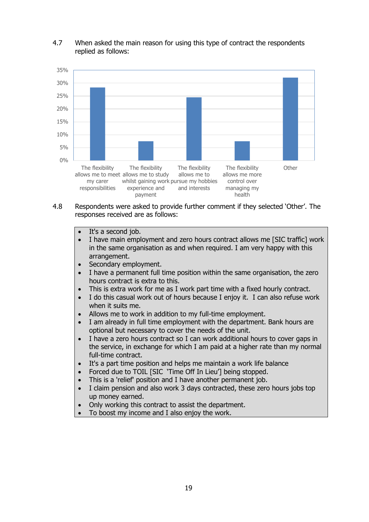### 4.7 When asked the main reason for using this type of contract the respondents replied as follows:



- 4.8 Respondents were asked to provide further comment if they selected 'Other'. The responses received are as follows:
	- It's a second job.
	- I have main employment and zero hours contract allows me [SIC traffic] work in the same organisation as and when required. I am very happy with this arrangement.
	- Secondary employment.
	- I have a permanent full time position within the same organisation, the zero hours contract is extra to this.
	- This is extra work for me as I work part time with a fixed hourly contract.
	- I do this casual work out of hours because I enjoy it. I can also refuse work when it suits me.
	- Allows me to work in addition to my full-time employment.
	- I am already in full time employment with the department. Bank hours are optional but necessary to cover the needs of the unit.
	- I have a zero hours contract so I can work additional hours to cover gaps in the service, in exchange for which I am paid at a higher rate than my normal full-time contract.
	- It's a part time position and helps me maintain a work life balance
	- Forced due to TOIL [SIC 'Time Off In Lieu'] being stopped.
	- This is a 'relief' position and I have another permanent job.
	- I claim pension and also work 3 days contracted, these zero hours jobs top up money earned.
	- Only working this contract to assist the department.
	- To boost my income and I also enjoy the work.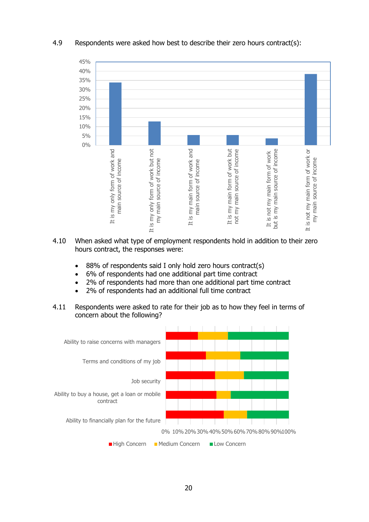

### 4.9 Respondents were asked how best to describe their zero hours contract(s):

- 4.10 When asked what type of employment respondents hold in addition to their zero hours contract, the responses were:
	- 88% of respondents said I only hold zero hours contract(s)
	- 6% of respondents had one additional part time contract
	- 2% of respondents had more than one additional part time contract
	- 2% of respondents had an additional full time contract
- 4.11 Respondents were asked to rate for their job as to how they feel in terms of concern about the following?

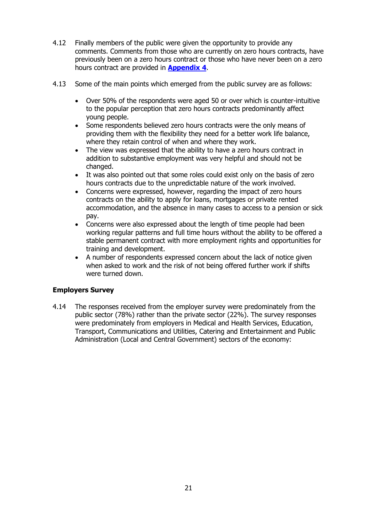- 4.12 Finally members of the public were given the opportunity to provide any comments. Comments from those who are currently on zero hours contracts, have previously been on a zero hours contract or those who have never been on a zero hours contract are provided in **[Appendix 4](#page-40-0)**.
- 4.13 Some of the main points which emerged from the public survey are as follows:
	- Over 50% of the respondents were aged 50 or over which is counter-intuitive to the popular perception that zero hours contracts predominantly affect young people.
	- Some respondents believed zero hours contracts were the only means of providing them with the flexibility they need for a better work life balance, where they retain control of when and where they work.
	- The view was expressed that the ability to have a zero hours contract in addition to substantive employment was very helpful and should not be changed.
	- It was also pointed out that some roles could exist only on the basis of zero hours contracts due to the unpredictable nature of the work involved.
	- Concerns were expressed, however, regarding the impact of zero hours contracts on the ability to apply for loans, mortgages or private rented accommodation, and the absence in many cases to access to a pension or sick pay.
	- Concerns were also expressed about the length of time people had been working regular patterns and full time hours without the ability to be offered a stable permanent contract with more employment rights and opportunities for training and development.
	- A number of respondents expressed concern about the lack of notice given when asked to work and the risk of not being offered further work if shifts were turned down.

### **Employers Survey**

4.14 The responses received from the employer survey were predominately from the public sector (78%) rather than the private sector (22%). The survey responses were predominately from employers in Medical and Health Services, Education, Transport, Communications and Utilities, Catering and Entertainment and Public Administration (Local and Central Government) sectors of the economy: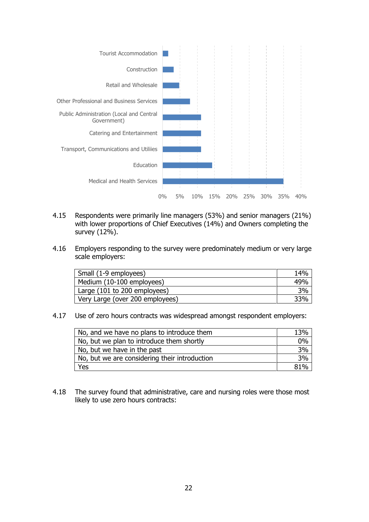

- 4.15 Respondents were primarily line managers (53%) and senior managers (21%) with lower proportions of Chief Executives (14%) and Owners completing the survey (12%).
- 4.16 Employers responding to the survey were predominately medium or very large scale employers:

| Small (1-9 employees)           | 14% |
|---------------------------------|-----|
| Medium (10-100 employees)       | 49% |
| Large (101 to 200 employees)    | 3%  |
| Very Large (over 200 employees) | 33% |

4.17 Use of zero hours contracts was widespread amongst respondent employers:

| No, and we have no plans to introduce them    | 13%   |
|-----------------------------------------------|-------|
| No, but we plan to introduce them shortly     | $0\%$ |
| No, but we have in the past                   | 3%    |
| No, but we are considering their introduction | 3%    |
| Yes                                           | ጸ1%   |

4.18 The survey found that administrative, care and nursing roles were those most likely to use zero hours contracts: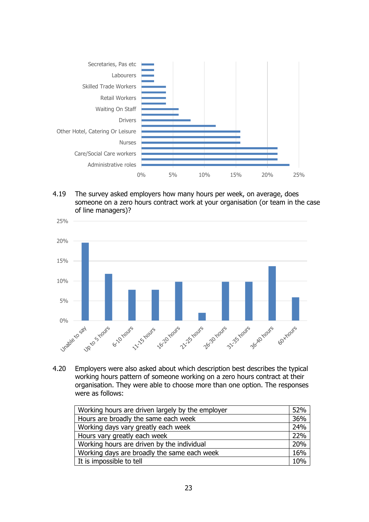

4.19 The survey asked employers how many hours per week, on average, does someone on a zero hours contract work at your organisation (or team in the case of line managers)?



4.20 Employers were also asked about which description best describes the typical working hours pattern of someone working on a zero hours contract at their organisation. They were able to choose more than one option. The responses were as follows:

| Working hours are driven largely by the employer | 52% |
|--------------------------------------------------|-----|
| Hours are broadly the same each week             | 36% |
| Working days vary greatly each week              | 24% |
| Hours vary greatly each week                     | 22% |
| Working hours are driven by the individual       | 20% |
| Working days are broadly the same each week      | 16% |
| It is impossible to tell                         | 10% |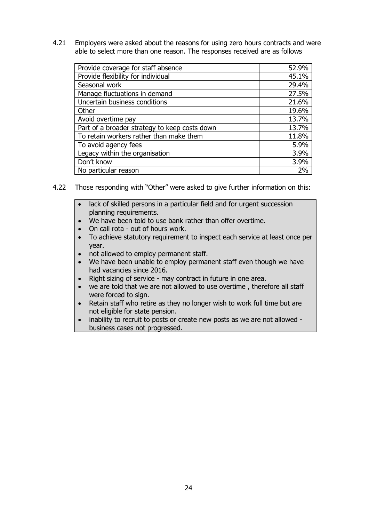4.21 Employers were asked about the reasons for using zero hours contracts and were able to select more than one reason. The responses received are as follows

| Provide coverage for staff absence            | 52.9% |
|-----------------------------------------------|-------|
| Provide flexibility for individual            | 45.1% |
| Seasonal work                                 | 29.4% |
| Manage fluctuations in demand                 | 27.5% |
| Uncertain business conditions                 | 21.6% |
| Other                                         | 19.6% |
| Avoid overtime pay                            | 13.7% |
| Part of a broader strategy to keep costs down | 13.7% |
| To retain workers rather than make them       | 11.8% |
| To avoid agency fees                          | 5.9%  |
| Legacy within the organisation                | 3.9%  |
| Don't know                                    | 3.9%  |
| No particular reason                          | 2%    |

- 4.22 Those responding with "Other" were asked to give further information on this:
	- lack of skilled persons in a particular field and for urgent succession planning requirements.
	- We have been told to use bank rather than offer overtime.
	- On call rota out of hours work.
	- To achieve statutory requirement to inspect each service at least once per year.
	- not allowed to employ permanent staff.
	- We have been unable to employ permanent staff even though we have had vacancies since 2016.
	- Right sizing of service may contract in future in one area.
	- we are told that we are not allowed to use overtime , therefore all staff were forced to sign.
	- Retain staff who retire as they no longer wish to work full time but are not eligible for state pension.
	- inability to recruit to posts or create new posts as we are not allowed business cases not progressed.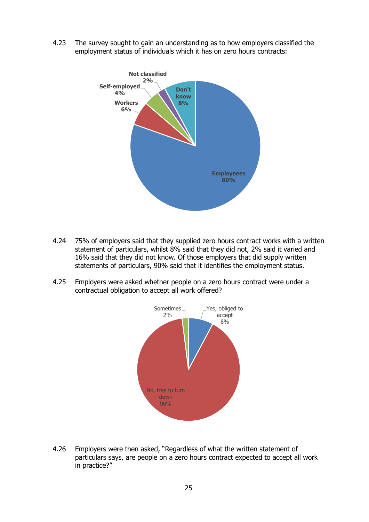4.23 The survey sought to gain an understanding as to how employers classified the employment status of individuals which it has on zero hours contracts:



- 4.24 75% of employers said that they supplied zero hours contract works with a written statement of particulars, whilst 8% said that they did not, 2% said it varied and 16% said that they did not know. Of those employers that did supply written statements of particulars, 90% said that it identifies the employment status.
- 4.25 Employers were asked whether people on a zero hours contract were under a contractual obligation to accept all work offered?



4.26 Employers were then asked, "Regardless of what the written statement of particulars says, are people on a zero hours contract expected to accept all work in practice?"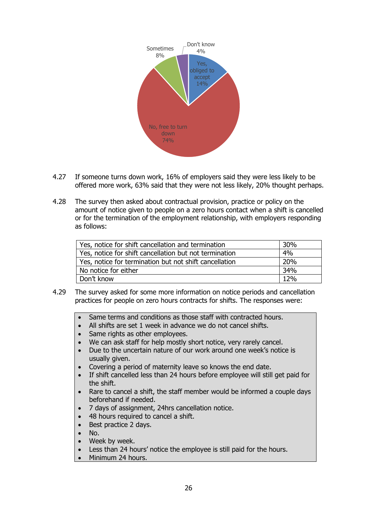

- 4.27 If someone turns down work, 16% of employers said they were less likely to be offered more work, 63% said that they were not less likely, 20% thought perhaps.
- 4.28 The survey then asked about contractual provision, practice or policy on the amount of notice given to people on a zero hours contact when a shift is cancelled or for the termination of the employment relationship, with employers responding as follows:

| Yes, notice for shift cancellation and termination     | 30% |
|--------------------------------------------------------|-----|
| Yes, notice for shift cancellation but not termination | 4%  |
| Yes, notice for termination but not shift cancellation | 20% |
| No notice for either                                   | 34% |
| Don't know                                             | 12% |

- 4.29 The survey asked for some more information on notice periods and cancellation practices for people on zero hours contracts for shifts. The responses were:
	- Same terms and conditions as those staff with contracted hours.
	- All shifts are set 1 week in advance we do not cancel shifts.
	- Same rights as other employees.
	- We can ask staff for help mostly short notice, very rarely cancel.
	- Due to the uncertain nature of our work around one week's notice is usually given.
	- Covering a period of maternity leave so knows the end date.
	- If shift cancelled less than 24 hours before employee will still get paid for the shift.
	- Rare to cancel a shift, the staff member would be informed a couple days beforehand if needed.
	- 7 days of assignment, 24hrs cancellation notice.
	- 48 hours required to cancel a shift.
	- Best practice 2 days.
	- $\bullet$  No.
	- Week by week.
	- Less than 24 hours' notice the employee is still paid for the hours.
	- Minimum 24 hours.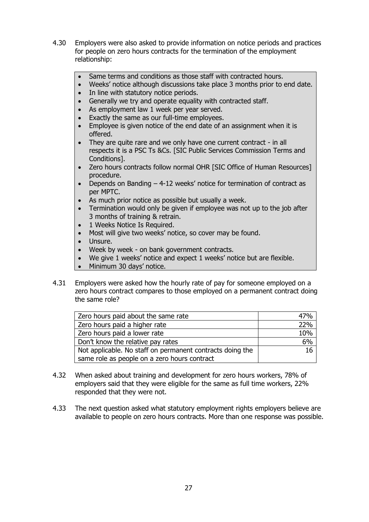- 4.30 Employers were also asked to provide information on notice periods and practices for people on zero hours contracts for the termination of the employment relationship:
	- Same terms and conditions as those staff with contracted hours.
	- Weeks' notice although discussions take place 3 months prior to end date.
	- In line with statutory notice periods.
	- Generally we try and operate equality with contracted staff.
	- As employment law 1 week per year served.
	- Exactly the same as our full-time employees.
	- Employee is given notice of the end date of an assignment when it is offered.
	- They are quite rare and we only have one current contract in all respects it is a PSC Ts &Cs. [SIC Public Services Commission Terms and Conditions].
	- Zero hours contracts follow normal OHR [SIC Office of Human Resources] procedure.
	- Depends on Banding 4-12 weeks' notice for termination of contract as per MPTC.
	- As much prior notice as possible but usually a week.
	- Termination would only be given if employee was not up to the job after 3 months of training & retrain.
	- 1 Weeks Notice Is Required.
	- Most will give two weeks' notice, so cover may be found.
	- Unsure.
	- Week by week on bank government contracts.
	- We give 1 weeks' notice and expect 1 weeks' notice but are flexible.
	- Minimum 30 days' notice.
- 4.31 Employers were asked how the hourly rate of pay for someone employed on a zero hours contract compares to those employed on a permanent contract doing the same role?

| Zero hours paid about the same rate                       | 47% |
|-----------------------------------------------------------|-----|
| Zero hours paid a higher rate                             | 22% |
| Zero hours paid a lower rate                              | 10% |
| Don't know the relative pay rates                         | 6%  |
| Not applicable. No staff on permanent contracts doing the | 16  |
| same role as people on a zero hours contract              |     |

- 4.32 When asked about training and development for zero hours workers, 78% of employers said that they were eligible for the same as full time workers, 22% responded that they were not.
- 4.33 The next question asked what statutory employment rights employers believe are available to people on zero hours contracts. More than one response was possible.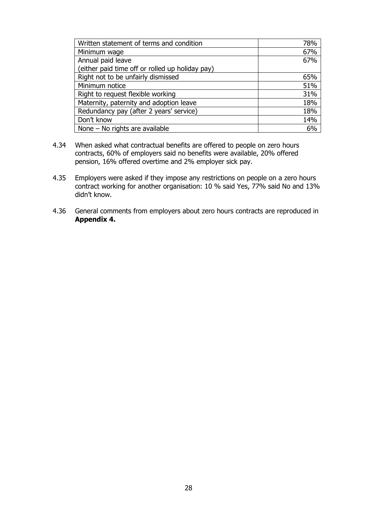| Written statement of terms and condition        | 78% |
|-------------------------------------------------|-----|
| Minimum wage                                    | 67% |
| Annual paid leave                               | 67% |
| (either paid time off or rolled up holiday pay) |     |
| Right not to be unfairly dismissed              | 65% |
| Minimum notice                                  | 51% |
| Right to request flexible working               | 31% |
| Maternity, paternity and adoption leave         | 18% |
| Redundancy pay (after 2 years' service)         | 18% |
| Don't know                                      | 14% |
| None - No rights are available                  | 6%  |

- 4.34 When asked what contractual benefits are offered to people on zero hours contracts, 60% of employers said no benefits were available, 20% offered pension, 16% offered overtime and 2% employer sick pay.
- 4.35 Employers were asked if they impose any restrictions on people on a zero hours contract working for another organisation: 10 % said Yes, 77% said No and 13% didn't know.
- 4.36 General comments from employers about zero hours contracts are reproduced in **Appendix 4.**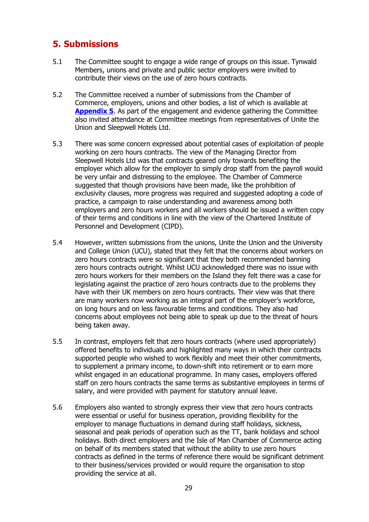# <span id="page-28-0"></span>**5. Submissions**

- 5.1 The Committee sought to engage a wide range of groups on this issue. Tynwald Members, unions and private and public sector employers were invited to contribute their views on the use of zero hours contracts.
- 5.2 The Committee received a number of submissions from the Chamber of Commerce, employers, unions and other bodies, a list of which is available at **[Appendix 5](#page-50-0)**. As part of the engagement and evidence gathering the Committee also invited attendance at Committee meetings from representatives of Unite the Union and Sleepwell Hotels Ltd.
- 5.3 There was some concern expressed about potential cases of exploitation of people working on zero hours contracts. The view of the Managing Director from Sleepwell Hotels Ltd was that contracts geared only towards benefiting the employer which allow for the employer to simply drop staff from the payroll would be very unfair and distressing to the employee. The Chamber of Commerce suggested that though provisions have been made, like the prohibition of exclusivity clauses, more progress was required and suggested adopting a code of practice, a campaign to raise understanding and awareness among both employers and zero hours workers and all workers should be issued a written copy of their terms and conditions in line with the view of the Chartered Institute of Personnel and Development (CIPD).
- 5.4 However, written submissions from the unions, Unite the Union and the University and College Union (UCU), stated that they felt that the concerns about workers on zero hours contracts were so significant that they both recommended banning zero hours contracts outright. Whilst UCU acknowledged there was no issue with zero hours workers for their members on the Island they felt there was a case for legislating against the practice of zero hours contracts due to the problems they have with their UK members on zero hours contracts. Their view was that there are many workers now working as an integral part of the employer's workforce, on long hours and on less favourable terms and conditions. They also had concerns about employees not being able to speak up due to the threat of hours being taken away.
- 5.5 In contrast, employers felt that zero hours contracts (where used appropriately) offered benefits to individuals and highlighted many ways in which their contracts supported people who wished to work flexibly and meet their other commitments, to supplement a primary income, to down-shift into retirement or to earn more whilst engaged in an educational programme. In many cases, employers offered staff on zero hours contracts the same terms as substantive employees in terms of salary, and were provided with payment for statutory annual leave.
- 5.6 Employers also wanted to strongly express their view that zero hours contracts were essential or useful for business operation, providing flexibility for the employer to manage fluctuations in demand during staff holidays, sickness, seasonal and peak periods of operation such as the TT, bank holidays and school holidays. Both direct employers and the Isle of Man Chamber of Commerce acting on behalf of its members stated that without the ability to use zero hours contracts as defined in the terms of reference there would be significant detriment to their business/services provided or would require the organisation to stop providing the service at all.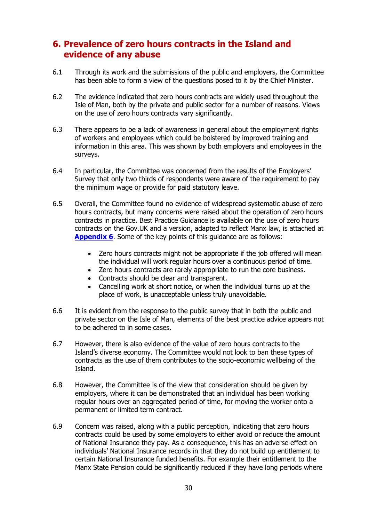# <span id="page-29-0"></span>**6. Prevalence of zero hours contracts in the Island and evidence of any abuse**

- 6.1 Through its work and the submissions of the public and employers, the Committee has been able to form a view of the questions posed to it by the Chief Minister.
- 6.2 The evidence indicated that zero hours contracts are widely used throughout the Isle of Man, both by the private and public sector for a number of reasons. Views on the use of zero hours contracts vary significantly.
- 6.3 There appears to be a lack of awareness in general about the employment rights of workers and employees which could be bolstered by improved training and information in this area. This was shown by both employers and employees in the surveys.
- 6.4 In particular, the Committee was concerned from the results of the Employers' Survey that only two thirds of respondents were aware of the requirement to pay the minimum wage or provide for paid statutory leave.
- 6.5 Overall, the Committee found no evidence of widespread systematic abuse of zero hours contracts, but many concerns were raised about the operation of zero hours contracts in practice. Best Practice Guidance is available on the use of zero hours contracts on the Gov.UK and a version, adapted to reflect Manx law, is attached at **[Appendix 6](#page-51-0)**. Some of the key points of this guidance are as follows:
	- Zero hours contracts might not be appropriate if the job offered will mean the individual will work regular hours over a continuous period of time.
	- Zero hours contracts are rarely appropriate to run the core business.
	- Contracts should be clear and transparent.
	- Cancelling work at short notice, or when the individual turns up at the place of work, is unacceptable unless truly unavoidable.
- 6.6 It is evident from the response to the public survey that in both the public and private sector on the Isle of Man, elements of the best practice advice appears not to be adhered to in some cases.
- 6.7 However, there is also evidence of the value of zero hours contracts to the Island's diverse economy. The Committee would not look to ban these types of contracts as the use of them contributes to the socio-economic wellbeing of the Island.
- 6.8 However, the Committee is of the view that consideration should be given by employers, where it can be demonstrated that an individual has been working regular hours over an aggregated period of time, for moving the worker onto a permanent or limited term contract.
- 6.9 Concern was raised, along with a public perception, indicating that zero hours contracts could be used by some employers to either avoid or reduce the amount of National Insurance they pay. As a consequence, this has an adverse effect on individuals' National Insurance records in that they do not build up entitlement to certain National Insurance funded benefits. For example their entitlement to the Manx State Pension could be significantly reduced if they have long periods where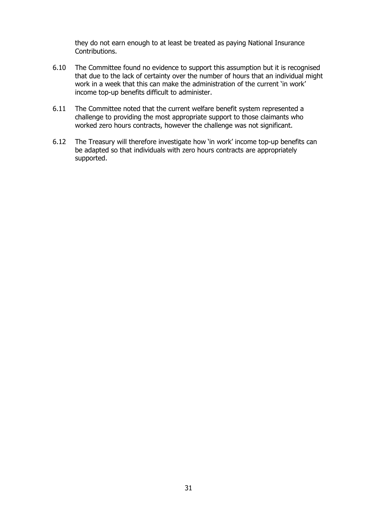they do not earn enough to at least be treated as paying National Insurance Contributions.

- 6.10 The Committee found no evidence to support this assumption but it is recognised that due to the lack of certainty over the number of hours that an individual might work in a week that this can make the administration of the current 'in work' income top-up benefits difficult to administer.
- 6.11 The Committee noted that the current welfare benefit system represented a challenge to providing the most appropriate support to those claimants who worked zero hours contracts, however the challenge was not significant.
- 6.12 The Treasury will therefore investigate how 'in work' income top-up benefits can be adapted so that individuals with zero hours contracts are appropriately supported.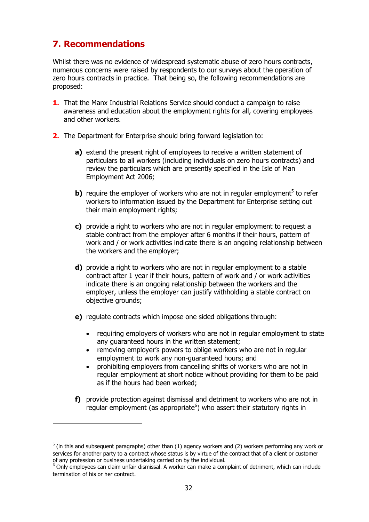# <span id="page-31-0"></span>**7. Recommendations**

-

Whilst there was no evidence of widespread systematic abuse of zero hours contracts, numerous concerns were raised by respondents to our surveys about the operation of zero hours contracts in practice. That being so, the following recommendations are proposed:

- **1.** That the Manx Industrial Relations Service should conduct a campaign to raise awareness and education about the employment rights for all, covering employees and other workers.
- **2.** The Department for Enterprise should bring forward legislation to:
	- **a)** extend the present right of employees to receive a written statement of particulars to all workers (including individuals on zero hours contracts) and review the particulars which are presently specified in the Isle of Man Employment Act 2006;
	- **b)** require the employer of workers who are not in regular employment<sup>5</sup> to refer workers to information issued by the Department for Enterprise setting out their main employment rights;
	- **c)** provide a right to workers who are not in regular employment to request a stable contract from the employer after 6 months if their hours, pattern of work and / or work activities indicate there is an ongoing relationship between the workers and the employer;
	- **d)** provide a right to workers who are not in regular employment to a stable contract after 1 year if their hours, pattern of work and / or work activities indicate there is an ongoing relationship between the workers and the employer, unless the employer can justify withholding a stable contract on objective grounds;
	- **e)** regulate contracts which impose one sided obligations through:
		- requiring employers of workers who are not in regular employment to state any guaranteed hours in the written statement;
		- removing employer's powers to oblige workers who are not in regular employment to work any non-guaranteed hours; and
		- prohibiting employers from cancelling shifts of workers who are not in regular employment at short notice without providing for them to be paid as if the hours had been worked;
	- **f)** provide protection against dismissal and detriment to workers who are not in regular employment (as appropriate<sup>6</sup>) who assert their statutory rights in

 $<sup>5</sup>$  (in this and subsequent paragraphs) other than (1) agency workers and (2) workers performing any work or</sup> services for another party to a contract whose status is by virtue of the contract that of a client or customer of any profession or business undertaking carried on by the individual.

 $^6$  Only employees can claim unfair dismissal. A worker can make a complaint of detriment, which can include termination of his or her contract.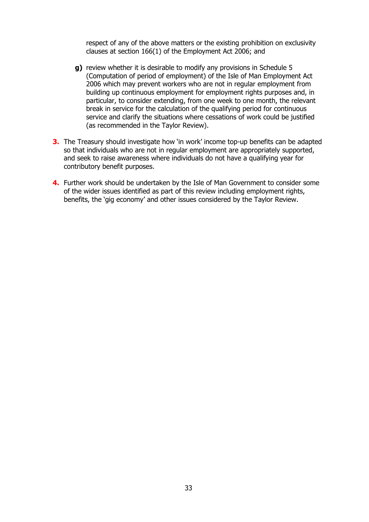respect of any of the above matters or the existing prohibition on exclusivity clauses at section 166(1) of the Employment Act 2006; and

- **g)** review whether it is desirable to modify any provisions in Schedule 5 (Computation of period of employment) of the Isle of Man Employment Act 2006 which may prevent workers who are not in regular employment from building up continuous employment for employment rights purposes and, in particular, to consider extending, from one week to one month, the relevant break in service for the calculation of the qualifying period for continuous service and clarify the situations where cessations of work could be justified (as recommended in the Taylor Review).
- **3.** The Treasury should investigate how 'in work' income top-up benefits can be adapted so that individuals who are not in regular employment are appropriately supported, and seek to raise awareness where individuals do not have a qualifying year for contributory benefit purposes.
- **4.** Further work should be undertaken by the Isle of Man Government to consider some of the wider issues identified as part of this review including employment rights, benefits, the 'gig economy' and other issues considered by the Taylor Review.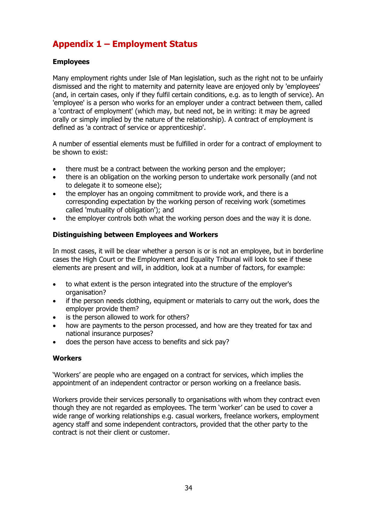# <span id="page-33-0"></span>**Appendix 1 – Employment Status**

### **Employees**

Many employment rights under Isle of Man legislation, such as the right not to be unfairly dismissed and the right to maternity and paternity leave are enjoyed only by 'employees' (and, in certain cases, only if they fulfil certain conditions, e.g. as to length of service). An 'employee' is a person who works for an employer under a contract between them, called a 'contract of employment' (which may, but need not, be in writing: it may be agreed orally or simply implied by the nature of the relationship). A contract of employment is defined as 'a contract of service or apprenticeship'.

A number of essential elements must be fulfilled in order for a contract of employment to be shown to exist:

- there must be a contract between the working person and the employer;
- there is an obligation on the working person to undertake work personally (and not to delegate it to someone else);
- the employer has an ongoing commitment to provide work, and there is a corresponding expectation by the working person of receiving work (sometimes called 'mutuality of obligation'); and
- the employer controls both what the working person does and the way it is done.

### **Distinguishing between Employees and Workers**

In most cases, it will be clear whether a person is or is not an employee, but in borderline cases the High Court or the Employment and Equality Tribunal will look to see if these elements are present and will, in addition, look at a number of factors, for example:

- to what extent is the person integrated into the structure of the employer's organisation?
- if the person needs clothing, equipment or materials to carry out the work, does the employer provide them?
- is the person allowed to work for others?
- how are payments to the person processed, and how are they treated for tax and national insurance purposes?
- does the person have access to benefits and sick pay?

### **Workers**

'Workers' are people who are engaged on a contract for services, which implies the appointment of an independent contractor or person working on a freelance basis.

Workers provide their services personally to organisations with whom they contract even though they are not regarded as employees. The term 'worker' can be used to cover a wide range of working relationships e.g. casual workers, freelance workers, employment agency staff and some independent contractors, provided that the other party to the contract is not their client or customer.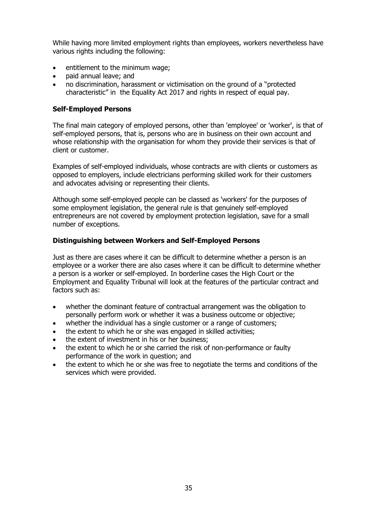While having more limited employment rights than employees, workers nevertheless have various rights including the following:

- entitlement to the minimum wage;
- paid annual leave; and
- no discrimination, harassment or victimisation on the ground of a "protected characteristic" in the Equality Act 2017 and rights in respect of equal pay.

### **Self-Employed Persons**

The final main category of employed persons, other than 'employee' or 'worker', is that of self-employed persons, that is, persons who are in business on their own account and whose relationship with the organisation for whom they provide their services is that of client or customer.

Examples of self-employed individuals, whose contracts are with clients or customers as opposed to employers, include electricians performing skilled work for their customers and advocates advising or representing their clients.

Although some self-employed people can be classed as 'workers' for the purposes of some employment legislation, the general rule is that genuinely self-employed entrepreneurs are not covered by employment protection legislation, save for a small number of exceptions.

### **Distinguishing between Workers and Self-Employed Persons**

Just as there are cases where it can be difficult to determine whether a person is an employee or a worker there are also cases where it can be difficult to determine whether a person is a worker or self-employed. In borderline cases the High Court or the Employment and Equality Tribunal will look at the features of the particular contract and factors such as:

- whether the dominant feature of contractual arrangement was the obligation to personally perform work or whether it was a business outcome or objective;
- whether the individual has a single customer or a range of customers;
- the extent to which he or she was engaged in skilled activities;
- the extent of investment in his or her business;
- the extent to which he or she carried the risk of non-performance or faulty performance of the work in question; and
- the extent to which he or she was free to negotiate the terms and conditions of the services which were provided.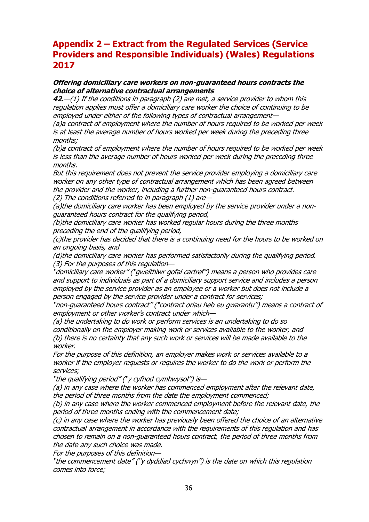# <span id="page-35-0"></span>**Appendix 2 – Extract from the Regulated Services (Service Providers and Responsible Individuals) (Wales) Regulations 2017**

### **Offering domiciliary care workers on non-guaranteed hours contracts the choice of alternative contractual arrangements**

**42.**—(1) If the conditions in paragraph (2) are met, a service provider to whom this regulation applies must offer a domiciliary care worker the choice of continuing to be employed under either of the following types of contractual arrangement—

(a)a contract of employment where the number of hours required to be worked per week is at least the average number of hours worked per week during the preceding three months;

(b)a contract of employment where the number of hours required to be worked per week is less than the average number of hours worked per week during the preceding three months.

But this requirement does not prevent the service provider employing a domiciliary care worker on any other type of contractual arrangement which has been agreed between the provider and the worker, including a further non-guaranteed hours contract. (2) The conditions referred to in paragraph (1) are—

(a)the domiciliary care worker has been employed by the service provider under a nonguaranteed hours contract for the qualifying period,

(b)the domiciliary care worker has worked regular hours during the three months preceding the end of the qualifying period,

(c)the provider has decided that there is a continuing need for the hours to be worked on an ongoing basis, and

(d)the domiciliary care worker has performed satisfactorily during the qualifying period. (3) For the purposes of this regulation—

"domiciliary care worker" ("gweithiwr gofal cartref") means a person who provides care and support to individuals as part of a domiciliary support service and includes a person employed by the service provider as an employee or a worker but does not include a person engaged by the service provider under a contract for services;

"non-guaranteed hours contract" ("contract oriau heb eu gwarantu") means a contract of employment or other worker's contract under which—

(a) the undertaking to do work or perform services is an undertaking to do so conditionally on the employer making work or services available to the worker, and (b) there is no certainty that any such work or services will be made available to the worker.

For the purpose of this definition, an employer makes work or services available to a worker if the employer requests or requires the worker to do the work or perform the services;

"the qualifying period" ("y cyfnod cymhwysol") is—

(a) in any case where the worker has commenced employment after the relevant date, the period of three months from the date the employment commenced;

(b) in any case where the worker commenced employment before the relevant date, the period of three months ending with the commencement date;

(c) in any case where the worker has previously been offered the choice of an alternative contractual arrangement in accordance with the requirements of this regulation and has chosen to remain on a non-guaranteed hours contract, the period of three months from the date any such choice was made.

For the purposes of this definition—

"the commencement date" ("y dyddiad cychwyn") is the date on which this regulation comes into force;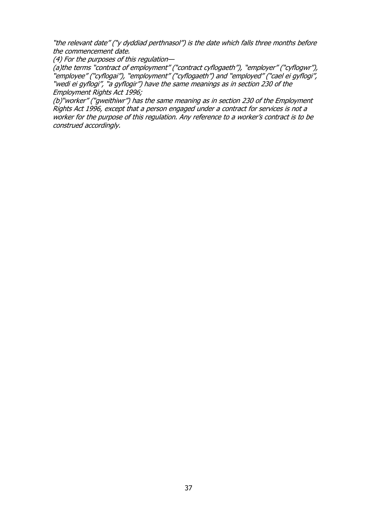"the relevant date" ("y dyddiad perthnasol") is the date which falls three months before the commencement date.

(4) For the purposes of this regulation—

(a)the terms "contract of employment" ("contract cyflogaeth"), "employer" ("cyflogwr"), "employee" ("cyflogai"), "employment" ("cyflogaeth") and "employed" ("cael ei gyflogi", "wedi ei gyflogi", "a gyflogir") have the same meanings as in section 230 of the Employment Rights Act 1996;

(b)"worker" ("gweithiwr") has the same meaning as in section 230 of the Employment Rights Act 1996, except that a person engaged under a contract for services is not a worker for the purpose of this regulation. Any reference to a worker's contract is to be construed accordingly.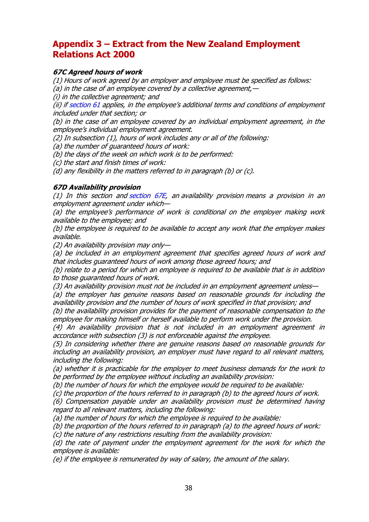# <span id="page-37-0"></span>**Appendix 3 – Extract from the New Zealand Employment Relations Act 2000**

### **67C Agreed hours of work**

(1) Hours of work agreed by an employer and employee must be specified as follows: (a) in the case of an employee covered by a collective agreement,  $-$ 

(i) in the collective agreement; and

(ii) if [section](http://www.legislation.govt.nz/act/public/2000/0024/109.0/link.aspx?id=DLM59142#DLM59142) 61 applies, in the employee's additional terms and conditions of employment included under that section; or

(b) in the case of an employee covered by an individual employment agreement, in the employee's individual employment agreement.

(2) In subsection (1), hours of work includes any or all of the following:

(a) the number of guaranteed hours of work:

(b) the days of the week on which work is to be performed:

(c) the start and finish times of work:

(d) any flexibility in the matters referred to in paragraph (b) or (c).

#### **67D Availability provision**

(1) In this [section](http://www.legislation.govt.nz/act/public/2000/0024/109.0/link.aspx?id=DLM6803004#DLM6803004) and section  $67E$ , an availability provision means a provision in an employment agreement under which—

(a) the employee's performance of work is conditional on the employer making work available to the employee; and

(b) the employee is required to be available to accept any work that the employer makes available.

(2) An availability provision may only—

(a) be included in an employment agreement that specifies agreed hours of work and that includes guaranteed hours of work among those agreed hours; and

(b) relate to a period for which an employee is required to be available that is in addition to those guaranteed hours of work.

(3) An availability provision must not be included in an employment agreement unless—

(a) the employer has genuine reasons based on reasonable grounds for including the availability provision and the number of hours of work specified in that provision; and

(b) the availability provision provides for the payment of reasonable compensation to the employee for making himself or herself available to perform work under the provision.

(4) An availability provision that is not included in an employment agreement in accordance with subsection (3) is not enforceable against the employee.

(5) In considering whether there are genuine reasons based on reasonable grounds for including an availability provision, an employer must have regard to all relevant matters, including the following:

(a) whether it is practicable for the employer to meet business demands for the work to be performed by the employee without including an availability provision:

(b) the number of hours for which the employee would be required to be available:

(c) the proportion of the hours referred to in paragraph (b) to the agreed hours of work.

(6) Compensation payable under an availability provision must be determined having regard to all relevant matters, including the following:

(a) the number of hours for which the employee is required to be available:

(b) the proportion of the hours referred to in paragraph (a) to the agreed hours of work:

(c) the nature of any restrictions resulting from the availability provision:

(d) the rate of payment under the employment agreement for the work for which the employee is available:

(e) if the employee is remunerated by way of salary, the amount of the salary.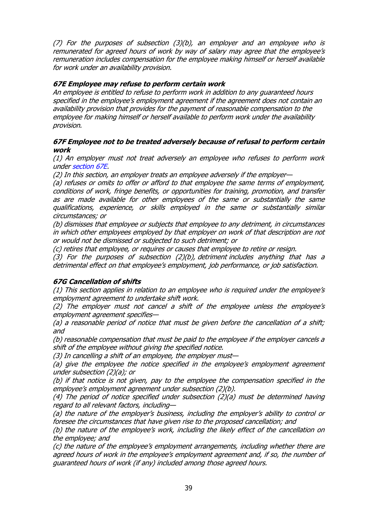(7) For the purposes of subsection (3)(b), an employer and an employee who is remunerated for agreed hours of work by way of salary may agree that the employee's remuneration includes compensation for the employee making himself or herself available for work under an availability provision.

### **67E Employee may refuse to perform certain work**

An employee is entitled to refuse to perform work in addition to any guaranteed hours specified in the employee's employment agreement if the agreement does not contain an availability provision that provides for the payment of reasonable compensation to the employee for making himself or herself available to perform work under the availability provision.

### **67F Employee not to be treated adversely because of refusal to perform certain work**

(1) An employer must not treat adversely an employee who refuses to perform work under [section](http://www.legislation.govt.nz/act/public/2000/0024/109.0/link.aspx?id=DLM6803004#DLM6803004) 67E.

(2) In this section, an employer treats an employee adversely if the employer—

(a) refuses or omits to offer or afford to that employee the same terms of employment, conditions of work, fringe benefits, or opportunities for training, promotion, and transfer as are made available for other employees of the same or substantially the same qualifications, experience, or skills employed in the same or substantially similar circumstances; or

(b) dismisses that employee or subjects that employee to any detriment, in circumstances in which other employees employed by that employer on work of that description are not or would not be dismissed or subjected to such detriment; or

(c) retires that employee, or requires or causes that employee to retire or resign.

(3) For the purposes of subsection (2)(b), detriment includes anything that has a detrimental effect on that employee's employment, job performance, or job satisfaction.

### **67G Cancellation of shifts**

(1) This section applies in relation to an employee who is required under the employee's employment agreement to undertake shift work.

(2) The employer must not cancel a shift of the employee unless the employee's employment agreement specifies—

(a) a reasonable period of notice that must be given before the cancellation of a shift; and

(b) reasonable compensation that must be paid to the employee if the employer cancels a shift of the employee without giving the specified notice.

(3) In cancelling a shift of an employee, the employer must—

(a) give the employee the notice specified in the employee's employment agreement under subsection (2)(a); or

(b) if that notice is not given, pay to the employee the compensation specified in the employee's employment agreement under subsection (2)(b).

(4) The period of notice specified under subsection (2)(a) must be determined having regard to all relevant factors, including—

(a) the nature of the employer's business, including the employer's ability to control or foresee the circumstances that have given rise to the proposed cancellation; and

(b) the nature of the employee's work, including the likely effect of the cancellation on the employee; and

(c) the nature of the employee's employment arrangements, including whether there are agreed hours of work in the employee's employment agreement and, if so, the number of guaranteed hours of work (if any) included among those agreed hours.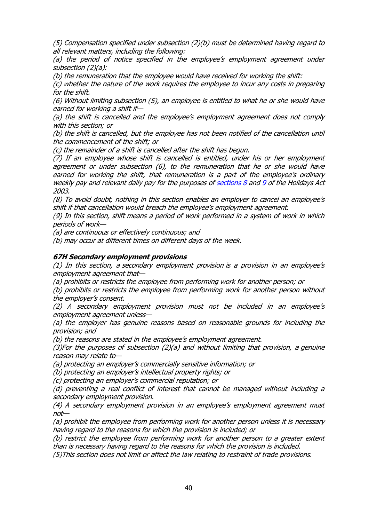(5) Compensation specified under subsection (2)(b) must be determined having regard to all relevant matters, including the following:

(a) the period of notice specified in the employee's employment agreement under subsection (2)(a):

(b) the remuneration that the employee would have received for working the shift:

(c) whether the nature of the work requires the employee to incur any costs in preparing for the shift.

(6) Without limiting subsection (5), an employee is entitled to what he or she would have earned for working a shift if—

(a) the shift is cancelled and the employee's employment agreement does not comply with this section; or

(b) the shift is cancelled, but the employee has not been notified of the cancellation until the commencement of the shift; or

(c) the remainder of a shift is cancelled after the shift has begun.

(7) If an employee whose shift is cancelled is entitled, under his or her employment agreement or under subsection (6), to the remuneration that he or she would have earned for working the shift, that remuneration is a part of the employee's ordinary weekly pay and relevant daily pay for the purposes of [sections](http://www.legislation.govt.nz/act/public/2000/0024/109.0/link.aspx?id=DLM236852#DLM236852) 8 and [9](http://www.legislation.govt.nz/act/public/2000/0024/109.0/link.aspx?id=DLM236856#DLM236856) of the Holidays Act 2003.

(8) To avoid doubt, nothing in this section enables an employer to cancel an employee's shift if that cancellation would breach the employee's employment agreement.

(9) In this section, shift means a period of work performed in a system of work in which periods of work—

(a) are continuous or effectively continuous; and

(b) may occur at different times on different days of the week.

#### **67H Secondary employment provisions**

(1) In this section, a secondary employment provision is a provision in an employee's employment agreement that—

(a) prohibits or restricts the employee from performing work for another person; or

(b) prohibits or restricts the employee from performing work for another person without the employer's consent.

(2) A secondary employment provision must not be included in an employee'<sup>s</sup> employment agreement unless—

(a) the employer has genuine reasons based on reasonable grounds for including the provision; and

(b) the reasons are stated in the employee's employment agreement.

(3)For the purposes of subsection (2)(a) and without limiting that provision, a genuine reason may relate to—

(a) protecting an employer's commercially sensitive information; or

(b) protecting an employer's intellectual property rights; or

(c) protecting an employer's commercial reputation; or

(d) preventing a real conflict of interest that cannot be managed without including a secondary employment provision.

(4) A secondary employment provision in an employee's employment agreement must not—

(a) prohibit the employee from performing work for another person unless it is necessary having regard to the reasons for which the provision is included; or

(b) restrict the employee from performing work for another person to a greater extent than is necessary having regard to the reasons for which the provision is included.

(5)This section does not limit or affect the law relating to restraint of trade provisions.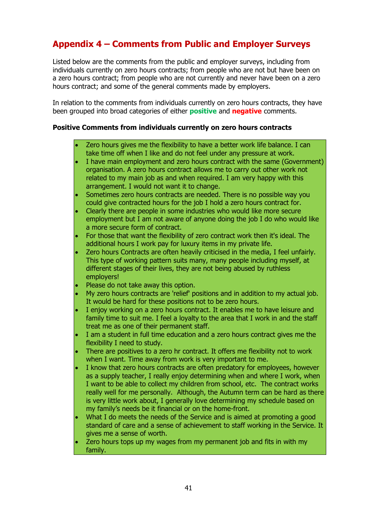# <span id="page-40-0"></span>**Appendix 4 – Comments from Public and Employer Surveys**

Listed below are the comments from the public and employer surveys, including from individuals currently on zero hours contracts; from people who are not but have been on a zero hours contract; from people who are not currently and never have been on a zero hours contract; and some of the general comments made by employers.

In relation to the comments from individuals currently on zero hours contracts, they have been grouped into broad categories of either **positive** and **negative** comments.

### **Positive Comments from individuals currently on zero hours contracts**

- Zero hours gives me the flexibility to have a better work life balance. I can take time off when I like and do not feel under any pressure at work.
- I have main employment and zero hours contract with the same (Government) organisation. A zero hours contract allows me to carry out other work not related to my main job as and when required. I am very happy with this arrangement. I would not want it to change.
- Sometimes zero hours contracts are needed. There is no possible way you could give contracted hours for the job I hold a zero hours contract for.
- Clearly there are people in some industries who would like more secure employment but I am not aware of anyone doing the job I do who would like a more secure form of contract.
- For those that want the flexibility of zero contract work then it's ideal. The additional hours I work pay for luxury items in my private life.
- Zero hours Contracts are often heavily criticised in the media, I feel unfairly. This type of working pattern suits many, many people including myself, at different stages of their lives, they are not being abused by ruthless employers!
- Please do not take away this option.
- My zero hours contracts are 'relief' positions and in addition to my actual job. It would be hard for these positions not to be zero hours.
- I enjoy working on a zero hours contract. It enables me to have leisure and family time to suit me. I feel a loyalty to the area that I work in and the staff treat me as one of their permanent staff.
- I am a student in full time education and a zero hours contract gives me the flexibility I need to study.
- There are positives to a zero hr contract. It offers me flexibility not to work when I want. Time away from work is very important to me.
- I know that zero hours contracts are often predatory for employees, however as a supply teacher, I really enjoy determining when and where I work, when I want to be able to collect my children from school, etc. The contract works really well for me personally. Although, the Autumn term can be hard as there is very little work about, I generally love determining my schedule based on my family's needs be it financial or on the home-front.
- What I do meets the needs of the Service and is aimed at promoting a good standard of care and a sense of achievement to staff working in the Service. It gives me a sense of worth.
- Zero hours tops up my wages from my permanent job and fits in with my family.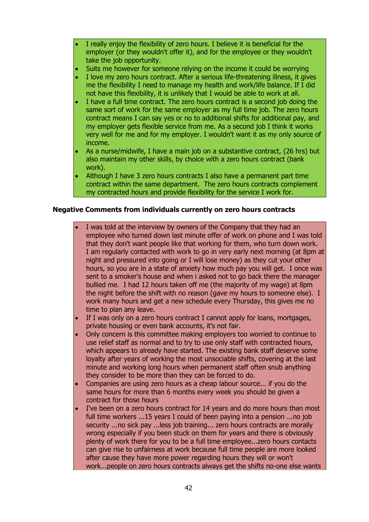- I really enjoy the flexibility of zero hours. I believe it is beneficial for the employer (or they wouldn't offer it), and for the employee or they wouldn't take the job opportunity.
- Suits me however for someone relying on the income it could be worrying
- I love my zero hours contract. After a serious life-threatening illness, it gives me the flexibility I need to manage my health and work/life balance. If I did not have this flexibility, it is unlikely that I would be able to work at all.
- I have a full time contract. The zero hours contract is a second job doing the same sort of work for the same employer as my full time job. The zero hours contract means I can say yes or no to additional shifts for additional pay, and my employer gets flexible service from me. As a second job I think it works very well for me and for my employer. I wouldn't want it as my only source of income.
- As a nurse/midwife, I have a main job on a substantive contract, (26 hrs) but also maintain my other skills, by choice with a zero hours contract (bank work).
- Although I have 3 zero hours contracts I also have a permanent part time contract within the same department. The zero hours contracts complement my contracted hours and provide flexibility for the service I work for.

### **Negative Comments from individuals currently on zero hours contracts**

- I was told at the interview by owners of the Company that they had an employee who turned down last minute offer of work on phone and I was told that they don't want people like that working for them, who turn down work. I am regularly contacted with work to go in very early next morning (at 8pm at night and pressured into going or I will lose money) as they cut your other hours, so you are in a state of anxiety how much pay you will get. I once was sent to a smoker's house and when i asked not to go back there the manager bullied me. I had 12 hours taken off me (the majority of my wage) at 8pm the night before the shift with no reason (gave my hours to someone else). I work many hours and get a new schedule every Thursday, this gives me no time to plan any leave.
- If I was only on a zero hours contract I cannot apply for loans, mortgages, private housing or even bank accounts, it's not fair.
- Only concern is this committee making employers too worried to continue to use relief staff as normal and to try to use only staff with contracted hours, which appears to already have started. The existing bank staff deserve some loyalty after years of working the most unsociable shifts, covering at the last minute and working long hours when permanent staff often snub anything they consider to be more than they can be forced to do.
- Companies are using zero hours as a cheap labour source... if you do the same hours for more than 6 months every week you should be given a contract for those hours
- I've been on a zero hours contract for 14 years and do more hours than most full time workers ...15 years I could of been paying into a pension ...no job security ...no sick pay ...less job training... zero hours contracts are morally wrong especially if you been stuck on them for years and there is obviously plenty of work there for you to be a full time employee...zero hours contacts can give rise to unfairness at work because full time people are more looked after cause they have more power regarding hours they will or won't work...people on zero hours contracts always get the shifts no-one else wants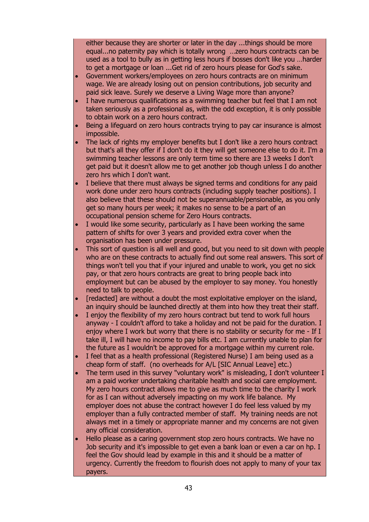either because they are shorter or later in the day ...things should be more equal...no paternity pay which is totally wrong …zero hours contracts can be used as a tool to bully as in getting less hours if bosses don't like you …harder to get a mortgage or loan ...Get rid of zero hours please for God's sake.

- Government workers/employees on zero hours contracts are on minimum wage. We are already losing out on pension contributions, job security and paid sick leave. Surely we deserve a Living Wage more than anyone?
- I have numerous qualifications as a swimming teacher but feel that I am not taken seriously as a professional as, with the odd exception, it is only possible to obtain work on a zero hours contract.
- Being a lifeguard on zero hours contracts trying to pay car insurance is almost impossible.
- The lack of rights my employer benefits but I don't like a zero hours contract but that's all they offer if I don't do it they will get someone else to do it. I'm a swimming teacher lessons are only term time so there are 13 weeks I don't get paid but it doesn't allow me to get another job though unless I do another zero hrs which I don't want.
- I believe that there must always be signed terms and conditions for any paid work done under zero hours contracts (including supply teacher positions). I also believe that these should not be superannuable/pensionable, as you only get so many hours per week; it makes no sense to be a part of an occupational pension scheme for Zero Hours contracts.
- I would like some security, particularly as I have been working the same pattern of shifts for over 3 years and provided extra cover when the organisation has been under pressure.
- This sort of question is all well and good, but you need to sit down with people who are on these contracts to actually find out some real answers. This sort of things won't tell you that if your injured and unable to work, you get no sick pay, or that zero hours contracts are great to bring people back into employment but can be abused by the employer to say money. You honestly need to talk to people.
- [redacted] are without a doubt the most exploitative employer on the island, an inquiry should be launched directly at them into how they treat their staff.
- I enjoy the flexibility of my zero hours contract but tend to work full hours anyway - I couldn't afford to take a holiday and not be paid for the duration. I enjoy where I work but worry that there is no stability or security for me - If I take ill, I will have no income to pay bills etc. I am currently unable to plan for the future as I wouldn't be approved for a mortgage within my current role.
- I feel that as a health professional (Registered Nurse) I am being used as a cheap form of staff. (no overheads for A/L [SIC Annual Leave] etc.)
- The term used in this survey "voluntary work" is misleading, I don't volunteer I am a paid worker undertaking charitable health and social care employment. My zero hours contract allows me to give as much time to the charity I work for as I can without adversely impacting on my work life balance. My employer does not abuse the contract however I do feel less valued by my employer than a fully contracted member of staff. My training needs are not always met in a timely or appropriate manner and my concerns are not given any official consideration.
- Hello please as a caring government stop zero hours contracts. We have no Job security and it's impossible to get even a bank loan or even a car on hp. I feel the Gov should lead by example in this and it should be a matter of urgency. Currently the freedom to flourish does not apply to many of your tax payers.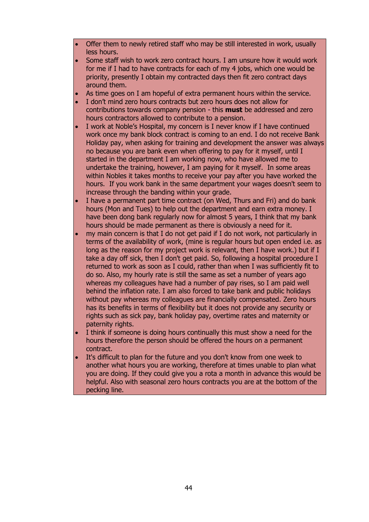- Offer them to newly retired staff who may be still interested in work, usually less hours.
- Some staff wish to work zero contract hours. I am unsure how it would work for me if I had to have contracts for each of my 4 jobs, which one would be priority, presently I obtain my contracted days then fit zero contract days around them.
- As time goes on I am hopeful of extra permanent hours within the service.
- I don't mind zero hours contracts but zero hours does not allow for contributions towards company pension - this **must** be addressed and zero hours contractors allowed to contribute to a pension.
- I work at Noble's Hospital, my concern is I never know if I have continued work once my bank block contract is coming to an end. I do not receive Bank Holiday pay, when asking for training and development the answer was always no because you are bank even when offering to pay for it myself, until I started in the department I am working now, who have allowed me to undertake the training, however, I am paying for it myself. In some areas within Nobles it takes months to receive your pay after you have worked the hours. If you work bank in the same department your wages doesn't seem to increase through the banding within your grade.
- I have a permanent part time contract (on Wed, Thurs and Fri) and do bank hours (Mon and Tues) to help out the department and earn extra money. I have been dong bank regularly now for almost 5 years, I think that my bank hours should be made permanent as there is obviously a need for it.
- my main concern is that I do not get paid if I do not work, not particularly in terms of the availability of work, (mine is regular hours but open ended i.e. as long as the reason for my project work is relevant, then I have work.) but if I take a day off sick, then I don't get paid. So, following a hospital procedure I returned to work as soon as I could, rather than when I was sufficiently fit to do so. Also, my hourly rate is still the same as set a number of years ago whereas my colleagues have had a number of pay rises, so I am paid well behind the inflation rate. I am also forced to take bank and public holidays without pay whereas my colleagues are financially compensated. Zero hours has its benefits in terms of flexibility but it does not provide any security or rights such as sick pay, bank holiday pay, overtime rates and maternity or paternity rights.
- I think if someone is doing hours continually this must show a need for the hours therefore the person should be offered the hours on a permanent contract.
- It's difficult to plan for the future and you don't know from one week to another what hours you are working, therefore at times unable to plan what you are doing. If they could give you a rota a month in advance this would be helpful. Also with seasonal zero hours contracts you are at the bottom of the pecking line.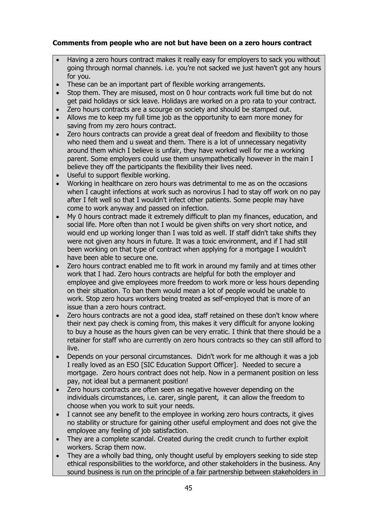## **Comments from people who are not but have been on a zero hours contract**

- Having a zero hours contract makes it really easy for employers to sack you without going through normal channels. i.e. you're not sacked we just haven't got any hours for you.
- These can be an important part of flexible working arrangements.
- Stop them. They are misused, most on 0 hour contracts work full time but do not get paid holidays or sick leave. Holidays are worked on a pro rata to your contract.
- Zero hours contracts are a scourge on society and should be stamped out.
- Allows me to keep my full time job as the opportunity to earn more money for saving from my zero hours contract.
- Zero hours contracts can provide a great deal of freedom and flexibility to those who need them and u sweat and them. There is a lot of unnecessary negativity around them which I believe is unfair, they have worked well for me a working parent. Some employers could use them unsympathetically however in the main I believe they off the participants the flexibility their lives need.
- Useful to support flexible working.
- Working in healthcare on zero hours was detrimental to me as on the occasions when I caught infections at work such as norovirus I had to stay off work on no pay after I felt well so that I wouldn't infect other patients. Some people may have come to work anyway and passed on infection.
- My 0 hours contract made it extremely difficult to plan my finances, education, and social life. More often than not I would be given shifts on very short notice, and would end up working longer than I was told as well. If staff didn't take shifts they were not given any hours in future. It was a toxic environment, and if I had still been working on that type of contract when applying for a mortgage I wouldn't have been able to secure one.
- Zero hours contract enabled me to fit work in around my family and at times other work that I had. Zero hours contracts are helpful for both the employer and employee and give employees more freedom to work more or less hours depending on their situation. To ban them would mean a lot of people would be unable to work. Stop zero hours workers being treated as self-employed that is more of an issue than a zero hours contract.
- Zero hours contracts are not a good idea, staff retained on these don't know where their next pay check is coming from, this makes it very difficult for anyone looking to buy a house as the hours given can be very erratic. I think that there should be a retainer for staff who are currently on zero hours contracts so they can still afford to live.
- Depends on your personal circumstances. Didn't work for me although it was a job I really loved as an ESO [SIC Education Support Officer]. Needed to secure a mortgage. Zero hours contract does not help. Now in a permanent position on less pay, not ideal but a permanent position!
- Zero hours contracts are often seen as negative however depending on the individuals circumstances, i.e. carer, single parent, it can allow the freedom to choose when you work to suit your needs.
- I cannot see any benefit to the employee in working zero hours contracts, it gives no stability or structure for gaining other useful employment and does not give the employee any feeling of job satisfaction.
- They are a complete scandal. Created during the credit crunch to further exploit workers. Scrap them now.
- They are a wholly bad thing, only thought useful by employers seeking to side step ethical responsibilities to the workforce, and other stakeholders in the business. Any sound business is run on the principle of a fair partnership between stakeholders in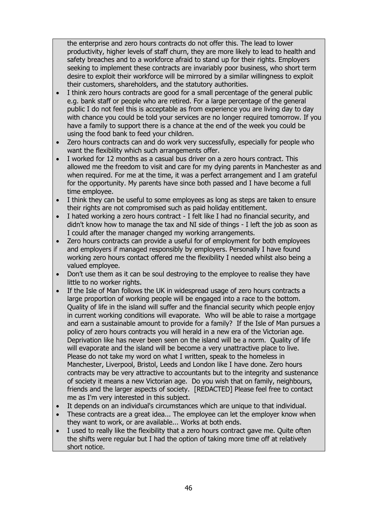the enterprise and zero hours contracts do not offer this. The lead to lower productivity, higher levels of staff churn, they are more likely to lead to health and safety breaches and to a workforce afraid to stand up for their rights. Employers seeking to implement these contracts are invariably poor business, who short term desire to exploit their workforce will be mirrored by a similar willingness to exploit their customers, shareholders, and the statutory authorities.

- I think zero hours contracts are good for a small percentage of the general public e.g. bank staff or people who are retired. For a large percentage of the general public I do not feel this is acceptable as from experience you are living day to day with chance you could be told your services are no longer required tomorrow. If you have a family to support there is a chance at the end of the week you could be using the food bank to feed your children.
- Zero hours contracts can and do work very successfully, especially for people who want the flexibility which such arrangements offer.
- I worked for 12 months as a casual bus driver on a zero hours contract. This allowed me the freedom to visit and care for my dying parents in Manchester as and when required. For me at the time, it was a perfect arrangement and I am grateful for the opportunity. My parents have since both passed and I have become a full time employee.
- I think they can be useful to some employees as long as steps are taken to ensure their rights are not compromised such as paid holiday entitlement.
- I hated working a zero hours contract I felt like I had no financial security, and didn't know how to manage the tax and NI side of things - I left the job as soon as I could after the manager changed my working arrangements.
- Zero hours contracts can provide a useful for of employment for both employees and employers if managed responsibly by employers. Personally I have found working zero hours contact offered me the flexibility I needed whilst also being a valued employee.
- Don't use them as it can be soul destroying to the employee to realise they have little to no worker rights.
- If the Isle of Man follows the UK in widespread usage of zero hours contracts a large proportion of working people will be engaged into a race to the bottom. Quality of life in the island will suffer and the financial security which people enjoy in current working conditions will evaporate. Who will be able to raise a mortgage and earn a sustainable amount to provide for a family? If the Isle of Man pursues a policy of zero hours contracts you will herald in a new era of the Victorian age. Deprivation like has never been seen on the island will be a norm. Quality of life will evaporate and the island will be become a very unattractive place to live. Please do not take my word on what I written, speak to the homeless in Manchester, Liverpool, Bristol, Leeds and London like I have done. Zero hours contracts may be very attractive to accountants but to the integrity and sustenance of society it means a new Victorian age. Do you wish that on family, neighbours, friends and the larger aspects of society. [REDACTED] Please feel free to contact me as I'm very interested in this subject.
- It depends on an individual's circumstances which are unique to that individual.
- These contracts are a great idea... The employee can let the employer know when they want to work, or are available... Works at both ends.
- I used to really like the flexibility that a zero hours contract gave me. Quite often the shifts were regular but I had the option of taking more time off at relatively short notice.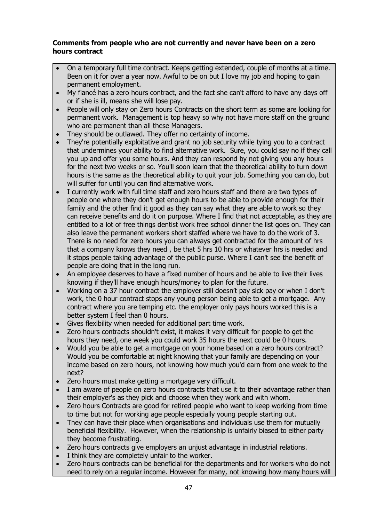### **Comments from people who are not currently and never have been on a zero hours contract**

- On a temporary full time contract. Keeps getting extended, couple of months at a time. Been on it for over a year now. Awful to be on but I love my job and hoping to gain permanent employment.
- My fiancé has a zero hours contract, and the fact she can't afford to have any days off or if she is ill, means she will lose pay.
- People will only stay on Zero hours Contracts on the short term as some are looking for permanent work. Management is top heavy so why not have more staff on the ground who are permanent than all these Managers.
- They should be outlawed. They offer no certainty of income.
- They're potentially exploitative and grant no job security while tying you to a contract that undermines your ability to find alternative work. Sure, you could say no if they call you up and offer you some hours. And they can respond by not giving you any hours for the next two weeks or so. You'll soon learn that the theoretical ability to turn down hours is the same as the theoretical ability to quit your job. Something you can do, but will suffer for until you can find alternative work.
- I currently work with full time staff and zero hours staff and there are two types of people one where they don't get enough hours to be able to provide enough for their family and the other find it good as they can say what they are able to work so they can receive benefits and do it on purpose. Where I find that not acceptable, as they are entitled to a lot of free things dentist work free school dinner the list goes on. They can also leave the permanent workers short staffed where we have to do the work of 3. There is no need for zero hours you can always get contracted for the amount of hrs that a company knows they need , be that 5 hrs 10 hrs or whatever hrs is needed and it stops people taking advantage of the public purse. Where I can't see the benefit of people are doing that in the long run.
- An employee deserves to have a fixed number of hours and be able to live their lives knowing if they'll have enough hours/money to plan for the future.
- Working on a 37 hour contract the employer still doesn't pay sick pay or when I don't work, the 0 hour contract stops any young person being able to get a mortgage. Any contract where you are temping etc. the employer only pays hours worked this is a better system I feel than 0 hours.
- Gives flexibility when needed for additional part time work.
- Zero hours contracts shouldn't exist, it makes it very difficult for people to get the hours they need, one week you could work 35 hours the next could be 0 hours.
- Would you be able to get a mortgage on your home based on a zero hours contract? Would you be comfortable at night knowing that your family are depending on your income based on zero hours, not knowing how much you'd earn from one week to the next?
- Zero hours must make getting a mortgage very difficult.
- I am aware of people on zero hours contracts that use it to their advantage rather than their employer's as they pick and choose when they work and with whom.
- Zero hours Contracts are good for retired people who want to keep working from time to time but not for working age people especially young people starting out.
- They can have their place when organisations and individuals use them for mutually beneficial flexibility. However, when the relationship is unfairly biased to either party they become frustrating.
- Zero hours contracts give employers an unjust advantage in industrial relations.
- I think they are completely unfair to the worker.
- Zero hours contracts can be beneficial for the departments and for workers who do not need to rely on a regular income. However for many, not knowing how many hours will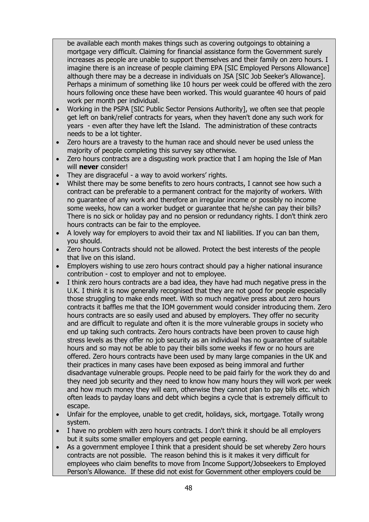be available each month makes things such as covering outgoings to obtaining a mortgage very difficult. Claiming for financial assistance form the Government surely increases as people are unable to support themselves and their family on zero hours. I imagine there is an increase of people claiming EPA [SIC Employed Persons Allowance] although there may be a decrease in individuals on JSA [SIC Job Seeker's Allowance]. Perhaps a minimum of something like 10 hours per week could be offered with the zero hours following once these have been worked. This would guarantee 40 hours of paid work per month per individual.

- Working in the PSPA [SIC Public Sector Pensions Authority], we often see that people get left on bank/relief contracts for years, when they haven't done any such work for years - even after they have left the Island. The administration of these contracts needs to be a lot tighter.
- Zero hours are a travesty to the human race and should never be used unless the majority of people completing this survey say otherwise.
- Zero hours contracts are a disgusting work practice that I am hoping the Isle of Man will **never** consider!
- They are disgraceful a way to avoid workers' rights.
- Whilst there may be some benefits to zero hours contracts, I cannot see how such a contract can be preferable to a permanent contract for the majority of workers. With no guarantee of any work and therefore an irregular income or possibly no income some weeks, how can a worker budget or guarantee that he/she can pay their bills? There is no sick or holiday pay and no pension or redundancy rights. I don't think zero hours contracts can be fair to the employee.
- A lovely way for employers to avoid their tax and NI liabilities. If you can ban them, you should.
- Zero hours Contracts should not be allowed. Protect the best interests of the people that live on this island.
- Employers wishing to use zero hours contract should pay a higher national insurance contribution - cost to employer and not to employee.
- I think zero hours contracts are a bad idea, they have had much negative press in the U.K. I think it is now generally recognised that they are not good for people especially those struggling to make ends meet. With so much negative press about zero hours contracts it baffles me that the IOM government would consider introducing them. Zero hours contracts are so easily used and abused by employers. They offer no security and are difficult to regulate and often it is the more vulnerable groups in society who end up taking such contracts. Zero hours contracts have been proven to cause high stress levels as they offer no job security as an individual has no guarantee of suitable hours and so may not be able to pay their bills some weeks if few or no hours are offered. Zero hours contracts have been used by many large companies in the UK and their practices in many cases have been exposed as being immoral and further disadvantage vulnerable groups. People need to be paid fairly for the work they do and they need job security and they need to know how many hours they will work per week and how much money they will earn, otherwise they cannot plan to pay bills etc. which often leads to payday loans and debt which begins a cycle that is extremely difficult to escape.
- Unfair for the employee, unable to get credit, holidays, sick, mortgage. Totally wrong system.
- I have no problem with zero hours contracts. I don't think it should be all employers but it suits some smaller employers and get people earning.
- As a government employee I think that a president should be set whereby Zero hours contracts are not possible. The reason behind this is it makes it very difficult for employees who claim benefits to move from Income Support/Jobseekers to Employed Person's Allowance. If these did not exist for Government other employers could be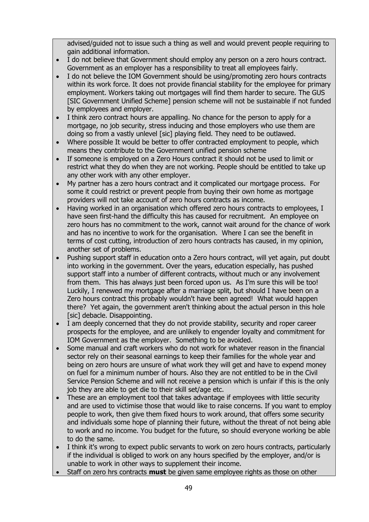advised/guided not to issue such a thing as well and would prevent people requiring to gain additional information.

- I do not believe that Government should employ any person on a zero hours contract. Government as an employer has a responsibility to treat all employees fairly.
- I do not believe the IOM Government should be using/promoting zero hours contracts within its work force. It does not provide financial stability for the employee for primary employment. Workers taking out mortgages will find them harder to secure. The GUS [SIC Government Unified Scheme] pension scheme will not be sustainable if not funded by employees and employer.
- I think zero contract hours are appalling. No chance for the person to apply for a mortgage, no job security, stress inducing and those employers who use them are doing so from a vastly unlevel [sic] playing field. They need to be outlawed.
- Where possible It would be better to offer contracted employment to people, which means they contribute to the Government unified pension scheme
- If someone is employed on a Zero Hours contract it should not be used to limit or restrict what they do when they are not working. People should be entitled to take up any other work with any other employer.
- My partner has a zero hours contract and it complicated our mortgage process. For some it could restrict or prevent people from buying their own home as mortgage providers will not take account of zero hours contracts as income.
- Having worked in an organisation which offered zero hours contracts to employees, I have seen first-hand the difficulty this has caused for recruitment. An employee on zero hours has no commitment to the work, cannot wait around for the chance of work and has no incentive to work for the organisation. Where I can see the benefit in terms of cost cutting, introduction of zero hours contracts has caused, in my opinion, another set of problems.
- Pushing support staff in education onto a Zero hours contract, will yet again, put doubt into working in the government. Over the years, education especially, has pushed support staff into a number of different contracts, without much or any involvement from them. This has always just been forced upon us. As I'm sure this will be too! Luckily, I renewed my mortgage after a marriage split, but should I have been on a Zero hours contract this probably wouldn't have been agreed! What would happen there? Yet again, the government aren't thinking about the actual person in this hole [sic] debacle. Disappointing.
- I am deeply concerned that they do not provide stability, security and roper career prospects for the employee, and are unlikely to engender loyalty and commitment for IOM Government as the employer. Something to be avoided.
- Some manual and craft workers who do not work for whatever reason in the financial sector rely on their seasonal earnings to keep their families for the whole year and being on zero hours are unsure of what work they will get and have to expend money on fuel for a minimum number of hours. Also they are not entitled to be in the Civil Service Pension Scheme and will not receive a pension which is unfair if this is the only job they are able to get die to their skill set/age etc.
- These are an employment tool that takes advantage if employees with little security and are used to victimise those that would like to raise concerns. If you want to employ people to work, then give them fixed hours to work around, that offers some security and individuals some hope of planning their future, without the threat of not being able to work and no income. You budget for the future, so should everyone working be able to do the same.
- I think it's wrong to expect public servants to work on zero hours contracts, particularly if the individual is obliged to work on any hours specified by the employer, and/or is unable to work in other ways to supplement their income.
- Staff on zero hrs contracts **must** be given same employee rights as those on other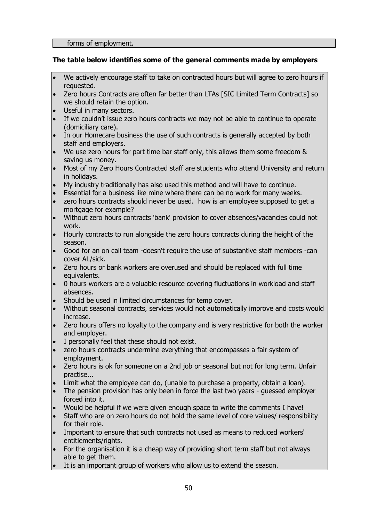### **The table below identifies some of the general comments made by employers**

- We actively encourage staff to take on contracted hours but will agree to zero hours if requested.
- Zero hours Contracts are often far better than LTAs [SIC Limited Term Contracts] so we should retain the option.
- Useful in many sectors.
- If we couldn't issue zero hours contracts we may not be able to continue to operate (domiciliary care).
- In our Homecare business the use of such contracts is generally accepted by both staff and employers.
- We use zero hours for part time bar staff only, this allows them some freedom & saving us money.
- Most of my Zero Hours Contracted staff are students who attend University and return in holidays.
- My industry traditionally has also used this method and will have to continue.
- Essential for a business like mine where there can be no work for many weeks.
- zero hours contracts should never be used. how is an employee supposed to get a mortgage for example?
- Without zero hours contracts 'bank' provision to cover absences/vacancies could not work.
- Hourly contracts to run alongside the zero hours contracts during the height of the season.
- Good for an on call team -doesn't require the use of substantive staff members -can cover AL/sick.
- Zero hours or bank workers are overused and should be replaced with full time equivalents.
- 0 hours workers are a valuable resource covering fluctuations in workload and staff absences.
- Should be used in limited circumstances for temp cover.
- Without seasonal contracts, services would not automatically improve and costs would increase.
- Zero hours offers no loyalty to the company and is very restrictive for both the worker and employer.
- I personally feel that these should not exist.
- zero hours contracts undermine everything that encompasses a fair system of employment.
- Zero hours is ok for someone on a 2nd job or seasonal but not for long term. Unfair practise...
- Limit what the employee can do, (unable to purchase a property, obtain a loan).
- The pension provision has only been in force the last two years guessed employer forced into it.
- Would be helpful if we were given enough space to write the comments I have!
- Staff who are on zero hours do not hold the same level of core values/ responsibility for their role.
- Important to ensure that such contracts not used as means to reduced workers' entitlements/rights.
- For the organisation it is a cheap way of providing short term staff but not always able to get them.
- It is an important group of workers who allow us to extend the season.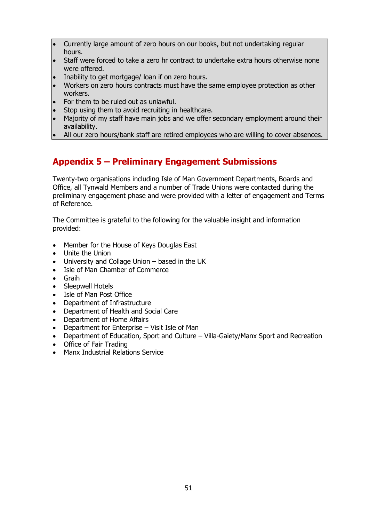- Currently large amount of zero hours on our books, but not undertaking regular hours.
- Staff were forced to take a zero hr contract to undertake extra hours otherwise none were offered.
- Inability to get mortgage/ loan if on zero hours.
- Workers on zero hours contracts must have the same employee protection as other workers.
- For them to be ruled out as unlawful.
- Stop using them to avoid recruiting in healthcare.
- Majority of my staff have main jobs and we offer secondary employment around their availability.
- All our zero hours/bank staff are retired employees who are willing to cover absences.

# <span id="page-50-0"></span>**Appendix 5 – Preliminary Engagement Submissions**

Twenty-two organisations including Isle of Man Government Departments, Boards and Office, all Tynwald Members and a number of Trade Unions were contacted during the preliminary engagement phase and were provided with a letter of engagement and Terms of Reference.

The Committee is grateful to the following for the valuable insight and information provided:

- Member for the House of Keys Douglas East
- Unite the Union
- University and Collage Union based in the UK
- Isle of Man Chamber of Commerce
- Graih
- Sleepwell Hotels
- Isle of Man Post Office
- Department of Infrastructure
- Department of Health and Social Care
- Department of Home Affairs
- Department for Enterprise Visit Isle of Man
- Department of Education, Sport and Culture Villa-Gaiety/Manx Sport and Recreation
- Office of Fair Trading
- Manx Industrial Relations Service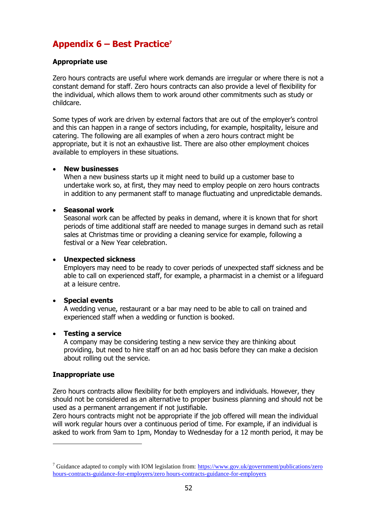# <span id="page-51-0"></span>**Appendix 6 – Best Practice<sup>7</sup>**

### **Appropriate use**

Zero hours contracts are useful where work demands are irregular or where there is not a constant demand for staff. Zero hours contracts can also provide a level of flexibility for the individual, which allows them to work around other commitments such as study or childcare.

Some types of work are driven by external factors that are out of the employer's control and this can happen in a range of sectors including, for example, hospitality, leisure and catering. The following are all examples of when a zero hours contract might be appropriate, but it is not an exhaustive list. There are also other employment choices available to employers in these situations.

#### **New businesses**

When a new business starts up it might need to build up a customer base to undertake work so, at first, they may need to employ people on zero hours contracts in addition to any permanent staff to manage fluctuating and unpredictable demands.

### **Seasonal work**

Seasonal work can be affected by peaks in demand, where it is known that for short periods of time additional staff are needed to manage surges in demand such as retail sales at Christmas time or providing a cleaning service for example, following a festival or a New Year celebration.

### **Unexpected sickness**

Employers may need to be ready to cover periods of unexpected staff sickness and be able to call on experienced staff, for example, a pharmacist in a chemist or a lifeguard at a leisure centre.

### **Special events**

A wedding venue, restaurant or a bar may need to be able to call on trained and experienced staff when a wedding or function is booked.

#### **Testing a service**

A company may be considering testing a new service they are thinking about providing, but need to hire staff on an ad hoc basis before they can make a decision about rolling out the service.

#### **Inappropriate use**

-

Zero hours contracts allow flexibility for both employers and individuals. However, they should not be considered as an alternative to proper business planning and should not be used as a permanent arrangement if not justifiable.

Zero hours contracts might not be appropriate if the job offered will mean the individual will work regular hours over a continuous period of time. For example, if an individual is asked to work from 9am to 1pm, Monday to Wednesday for a 12 month period, it may be

<sup>&</sup>lt;sup>7</sup> Guidance adapted to comply with IOM legislation from: https://www.gov.uk/government/publications/zero [hours-contracts-guidance-for-employers/zero hours-contracts-guidance-for-employers](https://www.gov.uk/government/publications/zero-hours-contracts-guidance-for-employers/zero-hours-contracts-guidance-for-employers)